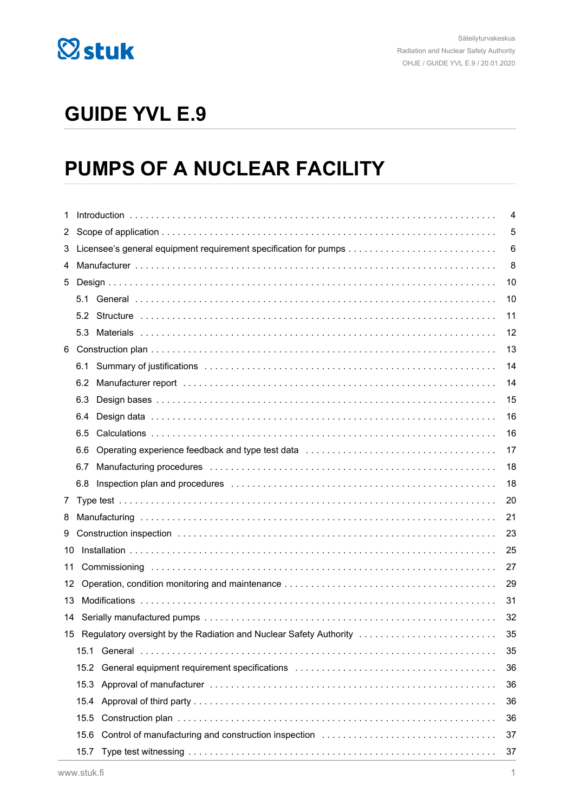

# **GUIDE YVL E.9**

# **PUMPS OF A NUCLEAR FACILITY**

| 1  |      |                                                                                                                 | $\overline{4}$ |  |  |
|----|------|-----------------------------------------------------------------------------------------------------------------|----------------|--|--|
| 2  | 5    |                                                                                                                 |                |  |  |
| 3  |      | 6                                                                                                               |                |  |  |
| 4  |      | 8                                                                                                               |                |  |  |
| 5  |      |                                                                                                                 | 10             |  |  |
|    |      |                                                                                                                 | 10             |  |  |
|    | 5.2  |                                                                                                                 | 11             |  |  |
|    | 5.3  |                                                                                                                 | 12             |  |  |
| 6  |      |                                                                                                                 | 13             |  |  |
|    | 6.1  |                                                                                                                 | 14             |  |  |
|    | 6.2  |                                                                                                                 | 14             |  |  |
|    | 6.3  |                                                                                                                 | 15             |  |  |
|    | 6.4  | Design data ………………………………………………………………………………                                                                      | 16             |  |  |
|    | 6.5  |                                                                                                                 | 16             |  |  |
|    | 6.6  |                                                                                                                 | 17             |  |  |
|    | 6.7  |                                                                                                                 | 18             |  |  |
|    | 6.8  |                                                                                                                 | 18             |  |  |
| 7  |      |                                                                                                                 | 20             |  |  |
| 8  |      |                                                                                                                 | 21             |  |  |
| 9  |      |                                                                                                                 | 23             |  |  |
| 10 |      |                                                                                                                 | 25             |  |  |
| 11 |      |                                                                                                                 | 27             |  |  |
| 12 |      |                                                                                                                 | 29             |  |  |
| 13 |      |                                                                                                                 | 31             |  |  |
| 14 |      |                                                                                                                 | 32             |  |  |
| 15 |      | Regulatory oversight by the Radiation and Nuclear Safety Authority                                              | 35             |  |  |
|    | 15.1 |                                                                                                                 | 35             |  |  |
|    | 15.2 | General equipment requirement specifications entertainment contains and contained a series of the series of the | 36             |  |  |
|    | 15.3 |                                                                                                                 | 36             |  |  |
|    | 15.4 |                                                                                                                 | 36             |  |  |
|    | 15.5 |                                                                                                                 | 36             |  |  |
|    | 15.6 | Control of manufacturing and construction inspection                                                            | 37             |  |  |
|    | 15.7 |                                                                                                                 | 37             |  |  |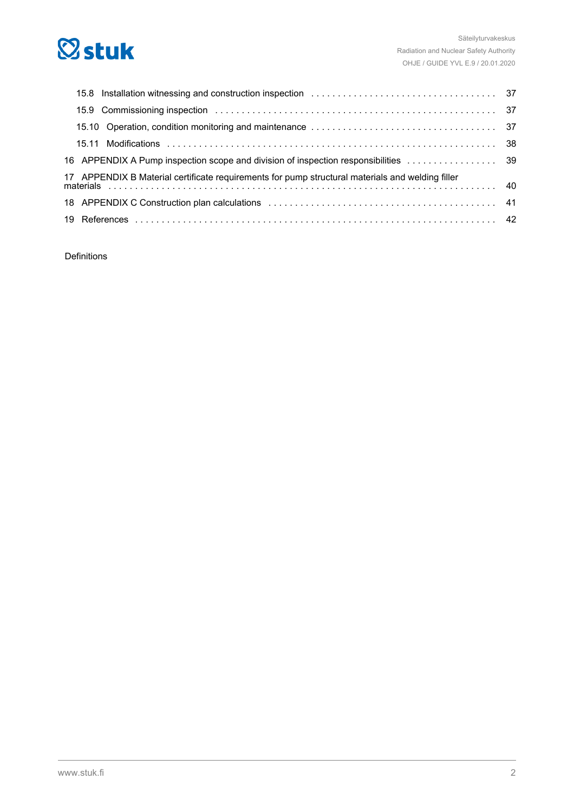# **Østuk**

| 17 APPENDIX B Material certificate requirements for pump structural materials and welding filler<br>Discount of the continuum of the materials and welding filler materials and welding filler materials continuum of the materials continuum of the materials continuum of the materials continuum of the materials continuum of |  |
|-----------------------------------------------------------------------------------------------------------------------------------------------------------------------------------------------------------------------------------------------------------------------------------------------------------------------------------|--|
|                                                                                                                                                                                                                                                                                                                                   |  |
|                                                                                                                                                                                                                                                                                                                                   |  |

Definitions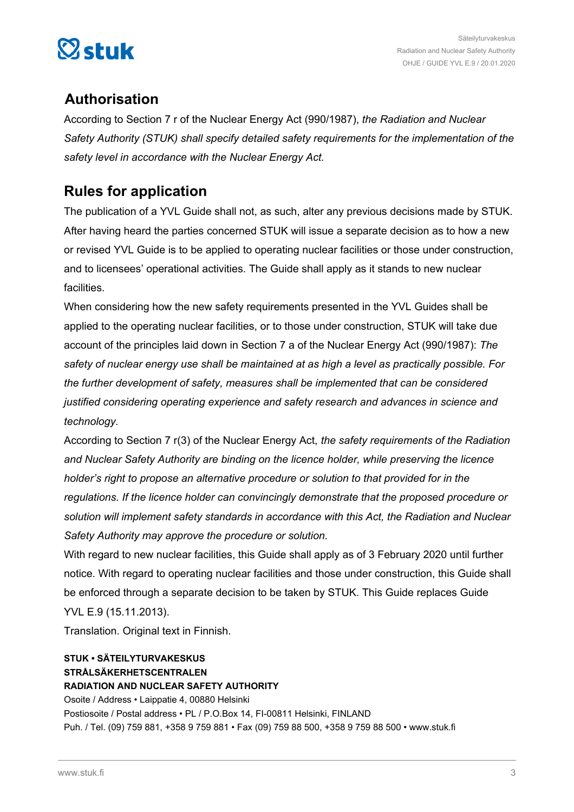

### **Authorisation**

According to Section 7 r of the Nuclear Energy Act (990/1987), *the Radiation and Nuclear Safety Authority (STUK) shall specify detailed safety requirements for the implementation of the safety level in accordance with the Nuclear Energy Act.*

### **Rules for application**

The publication of a YVL Guide shall not, as such, alter any previous decisions made by STUK. After having heard the parties concerned STUK will issue a separate decision as to how a new or revised YVL Guide is to be applied to operating nuclear facilities or those under construction, and to licensees' operational activities. The Guide shall apply as it stands to new nuclear facilities.

When considering how the new safety requirements presented in the YVL Guides shall be applied to the operating nuclear facilities, or to those under construction, STUK will take due account of the principles laid down in Section 7 a of the Nuclear Energy Act (990/1987): *The safety of nuclear energy use shall be maintained at as high a level as practically possible. For the further development of safety, measures shall be implemented that can be considered justified considering operating experience and safety research and advances in science and technology.*

According to Section 7 r(3) of the Nuclear Energy Act, *the safety requirements of the Radiation and Nuclear Safety Authority are binding on the licence holder, while preserving the licence holder's right to propose an alternative procedure or solution to that provided for in the regulations. If the licence holder can convincingly demonstrate that the proposed procedure or solution will implement safety standards in accordance with this Act, the Radiation and Nuclear Safety Authority may approve the procedure or solution.*

With regard to new nuclear facilities, this Guide shall apply as of 3 February 2020 until further notice. With regard to operating nuclear facilities and those under construction, this Guide shall be enforced through a separate decision to be taken by STUK. This Guide replaces Guide YVL E.9 (15.11.2013).

Translation. Original text in Finnish.

### **STUK • SÄTEILYTURVAKESKUS STRÅLSÄKERHETSCENTRALEN RADIATION AND NUCLEAR SAFETY AUTHORITY**

Osoite / Address • Laippatie 4, 00880 Helsinki Postiosoite / Postal address • PL / P.O.Box 14, FI-00811 Helsinki, FINLAND Puh. / Tel. (09) 759 881, +358 9 759 881 • Fax (09) 759 88 500, +358 9 759 88 500 • www.stuk.fi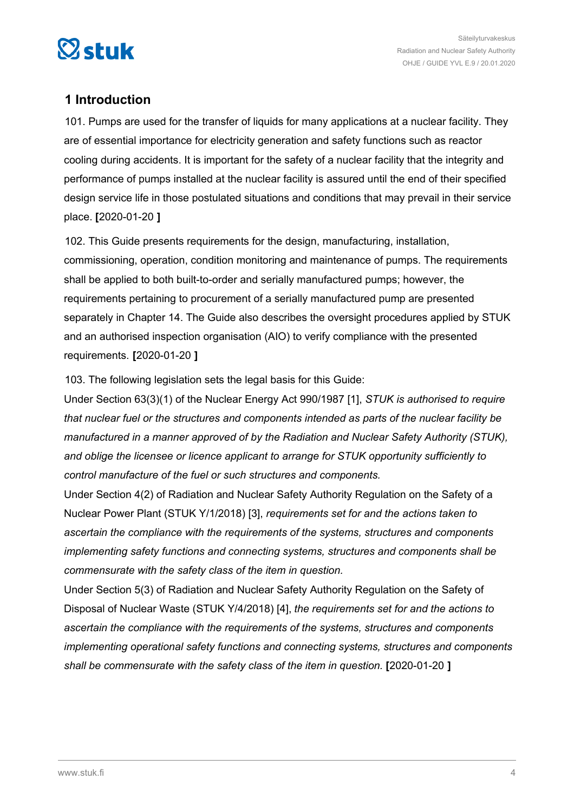<span id="page-3-0"></span>

### **1 Introduction**

101. Pumps are used for the transfer of liquids for many applications at a nuclear facility. They are of essential importance for electricity generation and safety functions such as reactor cooling during accidents. It is important for the safety of a nuclear facility that the integrity and performance of pumps installed at the nuclear facility is assured until the end of their specified design service life in those postulated situations and conditions that may prevail in their service place. **[**2020-01-20 **]**

102. This Guide presents requirements for the design, manufacturing, installation, commissioning, operation, condition monitoring and maintenance of pumps. The requirements shall be applied to both built-to-order and serially manufactured pumps; however, the requirements pertaining to procurement of a serially manufactured pump are presented separately in Chapter 14. The Guide also describes the oversight procedures applied by STUK and an authorised inspection organisation (AIO) to verify compliance with the presented requirements. **[**2020-01-20 **]**

103. The following legislation sets the legal basis for this Guide:

Under Section 63(3)(1) of the Nuclear Energy Act 990/1987 [1], *STUK is authorised to require that nuclear fuel or the structures and components intended as parts of the nuclear facility be manufactured in a manner approved of by the Radiation and Nuclear Safety Authority (STUK), and oblige the licensee or licence applicant to arrange for STUK opportunity sufficiently to control manufacture of the fuel or such structures and components.*

Under Section 4(2) of Radiation and Nuclear Safety Authority Regulation on the Safety of a Nuclear Power Plant (STUK Y/1/2018) [3], *requirements set for and the actions taken to ascertain the compliance with the requirements of the systems, structures and components implementing safety functions and connecting systems, structures and components shall be commensurate with the safety class of the item in question.*

Under Section 5(3) of Radiation and Nuclear Safety Authority Regulation on the Safety of Disposal of Nuclear Waste (STUK Y/4/2018) [4], *the requirements set for and the actions to ascertain the compliance with the requirements of the systems, structures and components implementing operational safety functions and connecting systems, structures and components shall be commensurate with the safety class of the item in question.* **[**2020-01-20 **]**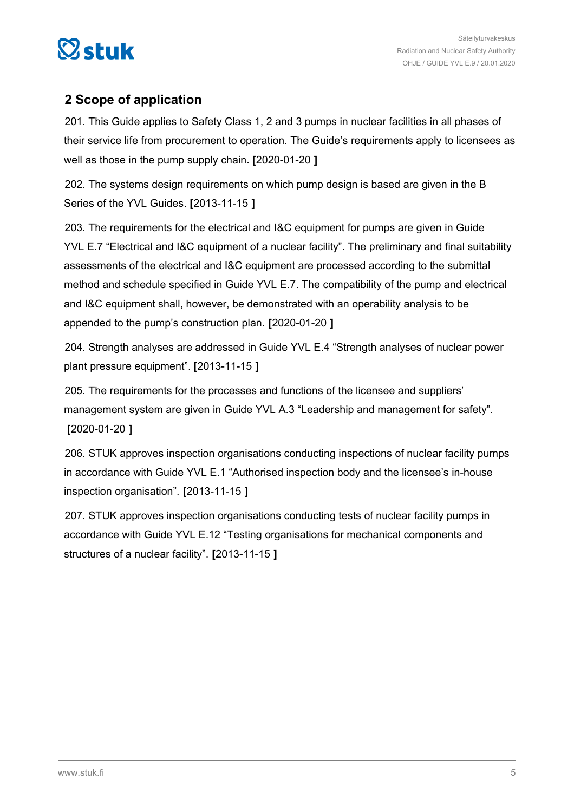<span id="page-4-0"></span>

### **2 Scope of application**

201. This Guide applies to Safety Class 1, 2 and 3 pumps in nuclear facilities in all phases of their service life from procurement to operation. The Guide's requirements apply to licensees as well as those in the pump supply chain. **[**2020-01-20 **]**

202. The systems design requirements on which pump design is based are given in the B Series of the YVL Guides. **[**2013-11-15 **]**

203. The requirements for the electrical and I&C equipment for pumps are given in Guide YVL E.7 "Electrical and I&C equipment of a nuclear facility". The preliminary and final suitability assessments of the electrical and I&C equipment are processed according to the submittal method and schedule specified in Guide YVL E.7. The compatibility of the pump and electrical and I&C equipment shall, however, be demonstrated with an operability analysis to be appended to the pump's construction plan. **[**2020-01-20 **]**

204. Strength analyses are addressed in Guide YVL E.4 "Strength analyses of nuclear power plant pressure equipment". **[**2013-11-15 **]**

205. The requirements for the processes and functions of the licensee and suppliers' management system are given in Guide YVL A.3 "Leadership and management for safety". **[**2020-01-20 **]**

206. STUK approves inspection organisations conducting inspections of nuclear facility pumps in accordance with Guide YVL E.1 "Authorised inspection body and the licensee's in-house inspection organisation". **[**2013-11-15 **]**

207. STUK approves inspection organisations conducting tests of nuclear facility pumps in accordance with Guide YVL E.12 "Testing organisations for mechanical components and structures of a nuclear facility". **[**2013-11-15 **]**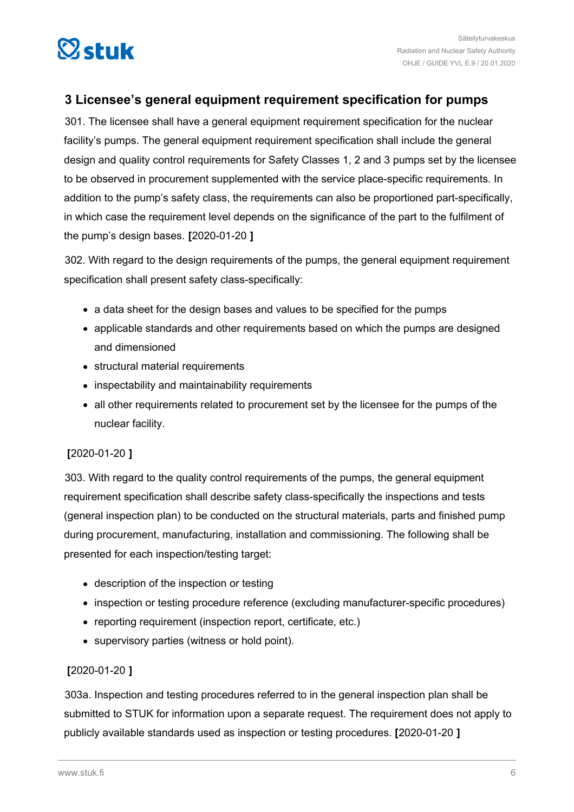<span id="page-5-0"></span>

### **3 Licensee's general equipment requirement specification for pumps**

301. The licensee shall have a general equipment requirement specification for the nuclear facility's pumps. The general equipment requirement specification shall include the general design and quality control requirements for Safety Classes 1, 2 and 3 pumps set by the licensee to be observed in procurement supplemented with the service place-specific requirements. In addition to the pump's safety class, the requirements can also be proportioned part-specifically, in which case the requirement level depends on the significance of the part to the fulfilment of the pump's design bases. **[**2020-01-20 **]**

302. With regard to the design requirements of the pumps, the general equipment requirement specification shall present safety class-specifically:

- a data sheet for the design bases and values to be specified for the pumps
- applicable standards and other requirements based on which the pumps are designed and dimensioned
- structural material requirements
- inspectability and maintainability requirements
- all other requirements related to procurement set by the licensee for the pumps of the nuclear facility.

### **[**2020-01-20 **]**

303. With regard to the quality control requirements of the pumps, the general equipment requirement specification shall describe safety class-specifically the inspections and tests (general inspection plan) to be conducted on the structural materials, parts and finished pump during procurement, manufacturing, installation and commissioning. The following shall be presented for each inspection/testing target:

- description of the inspection or testing
- inspection or testing procedure reference (excluding manufacturer-specific procedures)
- reporting requirement (inspection report, certificate, etc.)
- supervisory parties (witness or hold point).

### **[**2020-01-20 **]**

303a. Inspection and testing procedures referred to in the general inspection plan shall be submitted to STUK for information upon a separate request. The requirement does not apply to publicly available standards used as inspection or testing procedures. **[**2020-01-20 **]**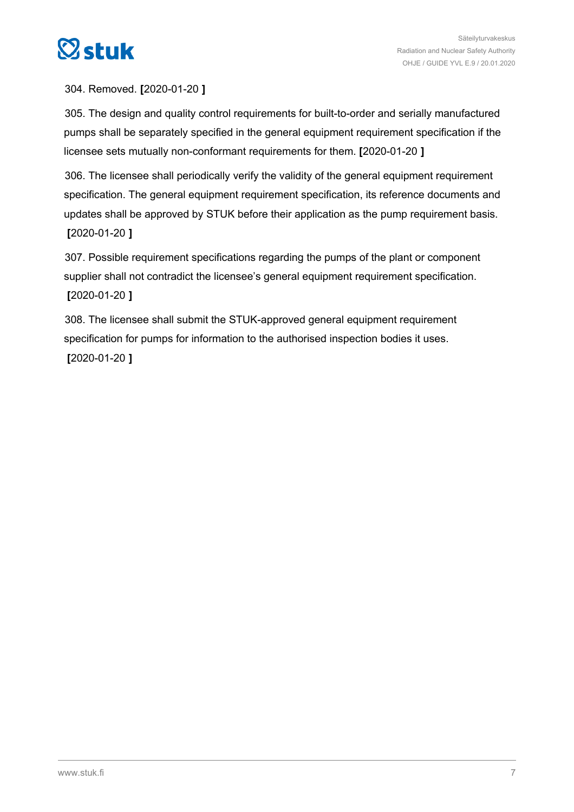

304. Removed. **[**2020-01-20 **]**

305. The design and quality control requirements for built-to-order and serially manufactured pumps shall be separately specified in the general equipment requirement specification if the licensee sets mutually non-conformant requirements for them. **[**2020-01-20 **]**

306. The licensee shall periodically verify the validity of the general equipment requirement specification. The general equipment requirement specification, its reference documents and updates shall be approved by STUK before their application as the pump requirement basis. **[**2020-01-20 **]**

307. Possible requirement specifications regarding the pumps of the plant or component supplier shall not contradict the licensee's general equipment requirement specification. **[**2020-01-20 **]**

308. The licensee shall submit the STUK-approved general equipment requirement specification for pumps for information to the authorised inspection bodies it uses. **[**2020-01-20 **]**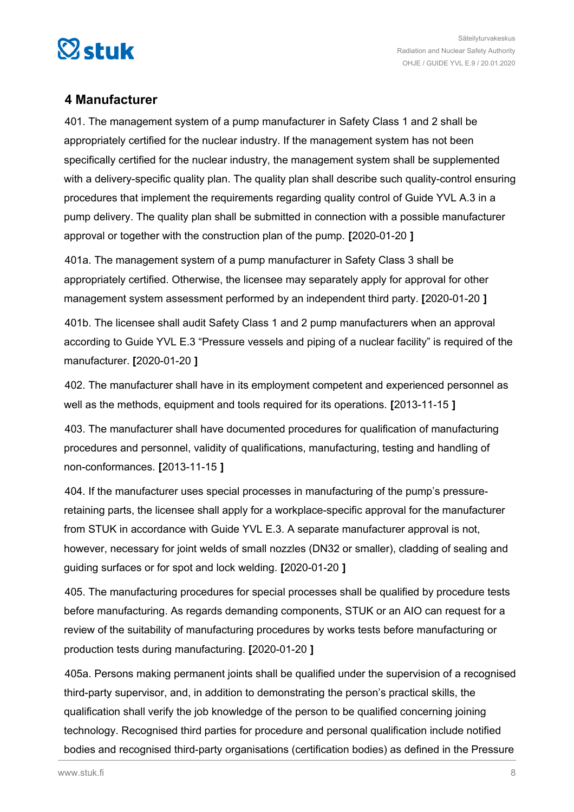<span id="page-7-0"></span>

### **4 Manufacturer**

401. The management system of a pump manufacturer in Safety Class 1 and 2 shall be appropriately certified for the nuclear industry. If the management system has not been specifically certified for the nuclear industry, the management system shall be supplemented with a delivery-specific quality plan. The quality plan shall describe such quality-control ensuring procedures that implement the requirements regarding quality control of Guide YVL A.3 in a pump delivery. The quality plan shall be submitted in connection with a possible manufacturer approval or together with the construction plan of the pump. **[**2020-01-20 **]**

401a. The management system of a pump manufacturer in Safety Class 3 shall be appropriately certified. Otherwise, the licensee may separately apply for approval for other management system assessment performed by an independent third party. **[**2020-01-20 **]**

401b. The licensee shall audit Safety Class 1 and 2 pump manufacturers when an approval according to Guide YVL E.3 "Pressure vessels and piping of a nuclear facility" is required of the manufacturer. **[**2020-01-20 **]**

402. The manufacturer shall have in its employment competent and experienced personnel as well as the methods, equipment and tools required for its operations. **[**2013-11-15 **]**

403. The manufacturer shall have documented procedures for qualification of manufacturing procedures and personnel, validity of qualifications, manufacturing, testing and handling of non-conformances. **[**2013-11-15 **]**

404. If the manufacturer uses special processes in manufacturing of the pump's pressureretaining parts, the licensee shall apply for a workplace-specific approval for the manufacturer from STUK in accordance with Guide YVL E.3. A separate manufacturer approval is not, however, necessary for joint welds of small nozzles (DN32 or smaller), cladding of sealing and guiding surfaces or for spot and lock welding. **[**2020-01-20 **]**

405. The manufacturing procedures for special processes shall be qualified by procedure tests before manufacturing. As regards demanding components, STUK or an AIO can request for a review of the suitability of manufacturing procedures by works tests before manufacturing or production tests during manufacturing. **[**2020-01-20 **]**

405a. Persons making permanent joints shall be qualified under the supervision of a recognised third-party supervisor, and, in addition to demonstrating the person's practical skills, the qualification shall verify the job knowledge of the person to be qualified concerning joining technology. Recognised third parties for procedure and personal qualification include notified bodies and recognised third-party organisations (certification bodies) as defined in the Pressure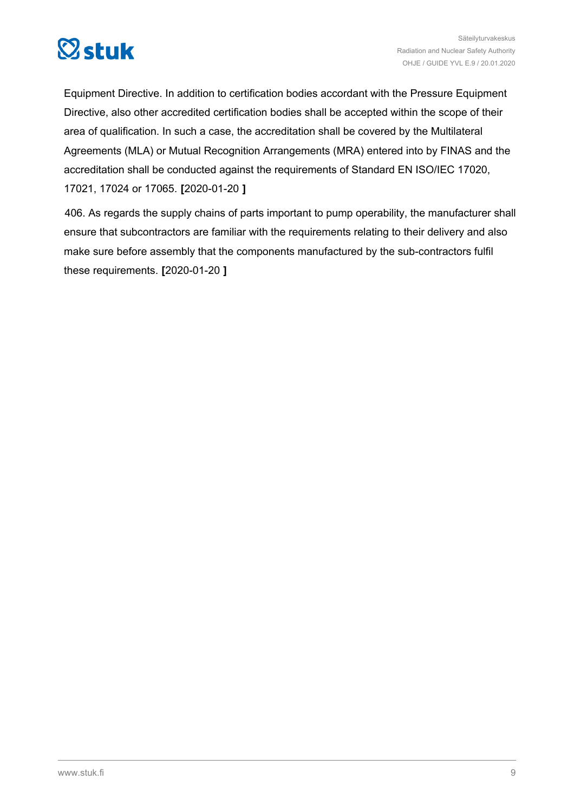

Equipment Directive. In addition to certification bodies accordant with the Pressure Equipment Directive, also other accredited certification bodies shall be accepted within the scope of their area of qualification. In such a case, the accreditation shall be covered by the Multilateral Agreements (MLA) or Mutual Recognition Arrangements (MRA) entered into by FINAS and the accreditation shall be conducted against the requirements of Standard EN ISO/IEC 17020, 17021, 17024 or 17065. **[**2020-01-20 **]**

406. As regards the supply chains of parts important to pump operability, the manufacturer shall ensure that subcontractors are familiar with the requirements relating to their delivery and also make sure before assembly that the components manufactured by the sub-contractors fulfil these requirements. **[**2020-01-20 **]**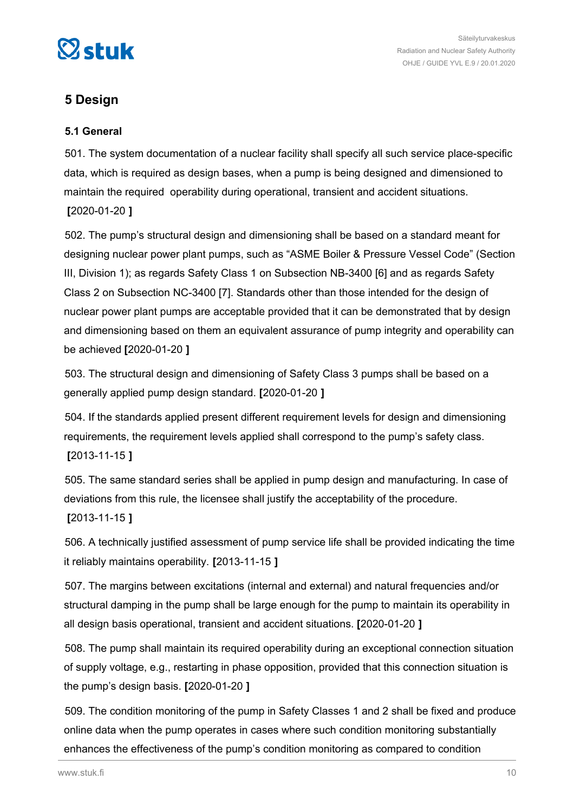<span id="page-9-0"></span>

Säteilyturvakeskus Radiation and Nuclear Safety Authority OHJE / GUIDE YVL E.9 / 20.01.2020

### **5 Design**

### **5.1 General**

501. The system documentation of a nuclear facility shall specify all such service place-specific data, which is required as design bases, when a pump is being designed and dimensioned to maintain the required operability during operational, transient and accident situations. **[**2020-01-20 **]**

502. The pump's structural design and dimensioning shall be based on a standard meant for designing nuclear power plant pumps, such as "ASME Boiler & Pressure Vessel Code" (Section III, Division 1); as regards Safety Class 1 on Subsection NB-3400 [6] and as regards Safety Class 2 on Subsection NC-3400 [7]. Standards other than those intended for the design of nuclear power plant pumps are acceptable provided that it can be demonstrated that by design and dimensioning based on them an equivalent assurance of pump integrity and operability can be achieved **[**2020-01-20 **]**

503. The structural design and dimensioning of Safety Class 3 pumps shall be based on a generally applied pump design standard. **[**2020-01-20 **]**

504. If the standards applied present different requirement levels for design and dimensioning requirements, the requirement levels applied shall correspond to the pump's safety class. **[**2013-11-15 **]**

505. The same standard series shall be applied in pump design and manufacturing. In case of deviations from this rule, the licensee shall justify the acceptability of the procedure.

### **[**2013-11-15 **]**

506. A technically justified assessment of pump service life shall be provided indicating the time it reliably maintains operability. **[**2013-11-15 **]**

507. The margins between excitations (internal and external) and natural frequencies and/or structural damping in the pump shall be large enough for the pump to maintain its operability in all design basis operational, transient and accident situations. **[**2020-01-20 **]**

508. The pump shall maintain its required operability during an exceptional connection situation of supply voltage, e.g., restarting in phase opposition, provided that this connection situation is the pump's design basis. **[**2020-01-20 **]**

509. The condition monitoring of the pump in Safety Classes 1 and 2 shall be fixed and produce online data when the pump operates in cases where such condition monitoring substantially enhances the effectiveness of the pump's condition monitoring as compared to condition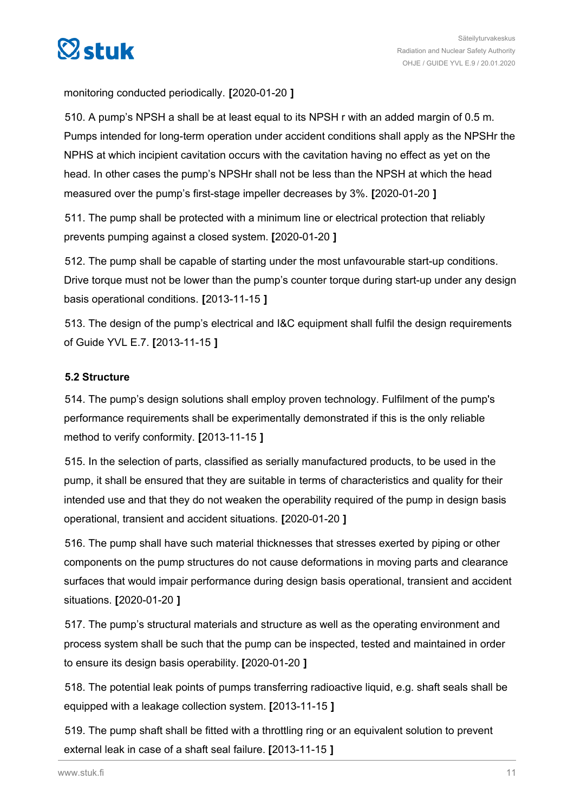<span id="page-10-0"></span>

monitoring conducted periodically. **[**2020-01-20 **]**

510. A pump's NPSH a shall be at least equal to its NPSH r with an added margin of 0.5 m. Pumps intended for long-term operation under accident conditions shall apply as the NPSHr the NPHS at which incipient cavitation occurs with the cavitation having no effect as yet on the head. In other cases the pump's NPSHr shall not be less than the NPSH at which the head measured over the pump's first-stage impeller decreases by 3%. **[**2020-01-20 **]**

511. The pump shall be protected with a minimum line or electrical protection that reliably prevents pumping against a closed system. **[**2020-01-20 **]**

512. The pump shall be capable of starting under the most unfavourable start-up conditions. Drive torque must not be lower than the pump's counter torque during start-up under any design basis operational conditions. **[**2013-11-15 **]**

513. The design of the pump's electrical and I&C equipment shall fulfil the design requirements of Guide YVL E.7. **[**2013-11-15 **]**

### **5.2 Structure**

514. The pump's design solutions shall employ proven technology. Fulfilment of the pump's performance requirements shall be experimentally demonstrated if this is the only reliable method to verify conformity. **[**2013-11-15 **]**

515. In the selection of parts, classified as serially manufactured products, to be used in the pump, it shall be ensured that they are suitable in terms of characteristics and quality for their intended use and that they do not weaken the operability required of the pump in design basis operational, transient and accident situations. **[**2020-01-20 **]**

516. The pump shall have such material thicknesses that stresses exerted by piping or other components on the pump structures do not cause deformations in moving parts and clearance surfaces that would impair performance during design basis operational, transient and accident situations. **[**2020-01-20 **]**

517. The pump's structural materials and structure as well as the operating environment and process system shall be such that the pump can be inspected, tested and maintained in order to ensure its design basis operability. **[**2020-01-20 **]**

518. The potential leak points of pumps transferring radioactive liquid, e.g. shaft seals shall be equipped with a leakage collection system. **[**2013-11-15 **]**

519. The pump shaft shall be fitted with a throttling ring or an equivalent solution to prevent external leak in case of a shaft seal failure. **[**2013-11-15 **]**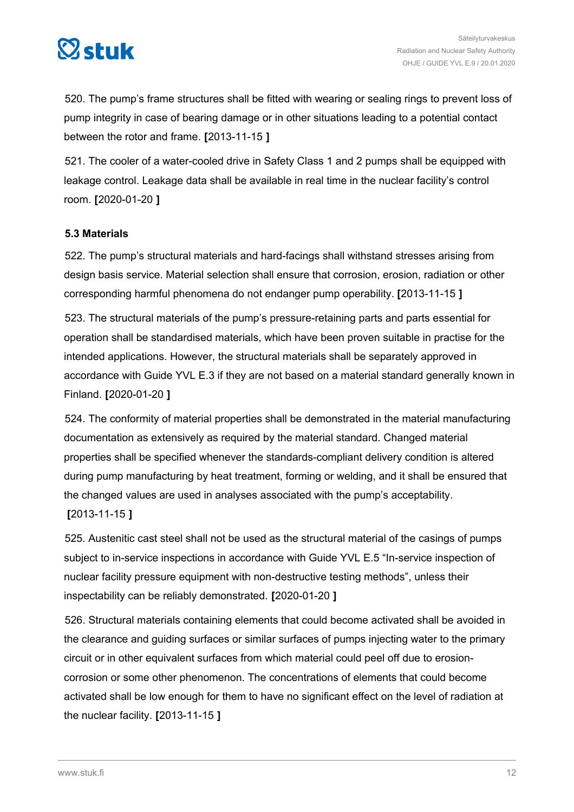<span id="page-11-0"></span>

520. The pump's frame structures shall be fitted with wearing or sealing rings to prevent loss of pump integrity in case of bearing damage or in other situations leading to a potential contact between the rotor and frame. **[**2013-11-15 **]**

521. The cooler of a water-cooled drive in Safety Class 1 and 2 pumps shall be equipped with leakage control. Leakage data shall be available in real time in the nuclear facility's control room. **[**2020-01-20 **]**

#### **5.3 Materials**

522. The pump's structural materials and hard-facings shall withstand stresses arising from design basis service. Material selection shall ensure that corrosion, erosion, radiation or other corresponding harmful phenomena do not endanger pump operability. **[**2013-11-15 **]**

523. The structural materials of the pump's pressure-retaining parts and parts essential for operation shall be standardised materials, which have been proven suitable in practise for the intended applications. However, the structural materials shall be separately approved in accordance with Guide YVL E.3 if they are not based on a material standard generally known in Finland. **[**2020-01-20 **]**

524. The conformity of material properties shall be demonstrated in the material manufacturing documentation as extensively as required by the material standard. Changed material properties shall be specified whenever the standards-compliant delivery condition is altered during pump manufacturing by heat treatment, forming or welding, and it shall be ensured that the changed values are used in analyses associated with the pump's acceptability. **[**2013-11-15 **]**

525. Austenitic cast steel shall not be used as the structural material of the casings of pumps subject to in-service inspections in accordance with Guide YVL E.5 "In-service inspection of nuclear facility pressure equipment with non-destructive testing methods", unless their inspectability can be reliably demonstrated. **[**2020-01-20 **]**

526. Structural materials containing elements that could become activated shall be avoided in the clearance and guiding surfaces or similar surfaces of pumps injecting water to the primary circuit or in other equivalent surfaces from which material could peel off due to erosioncorrosion or some other phenomenon. The concentrations of elements that could become activated shall be low enough for them to have no significant effect on the level of radiation at the nuclear facility. **[**2013-11-15 **]**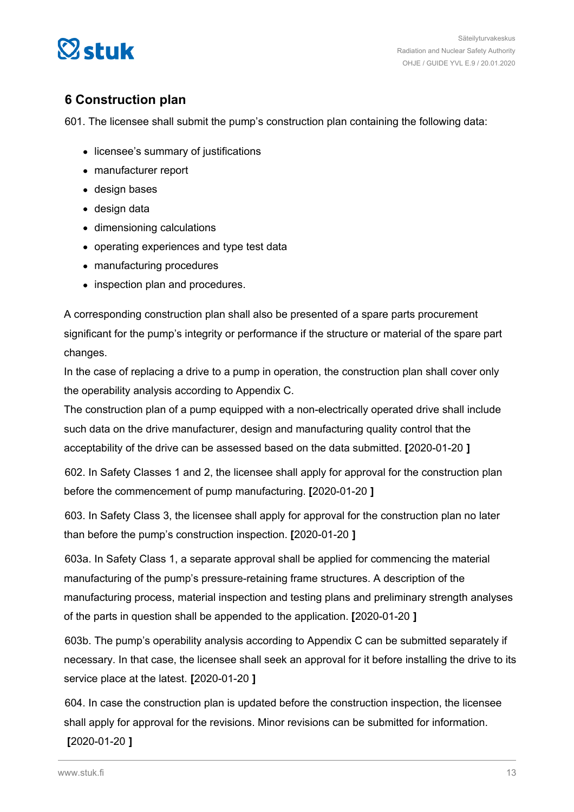<span id="page-12-0"></span>

### **6 Construction plan**

601. The licensee shall submit the pump's construction plan containing the following data:

- licensee's summary of justifications
- manufacturer report
- design bases
- design data
- dimensioning calculations
- operating experiences and type test data
- manufacturing procedures
- inspection plan and procedures.

A corresponding construction plan shall also be presented of a spare parts procurement significant for the pump's integrity or performance if the structure or material of the spare part changes.

In the case of replacing a drive to a pump in operation, the construction plan shall cover only the operability analysis according to Appendix C.

The construction plan of a pump equipped with a non-electrically operated drive shall include such data on the drive manufacturer, design and manufacturing quality control that the acceptability of the drive can be assessed based on the data submitted. **[**2020-01-20 **]**

602. In Safety Classes 1 and 2, the licensee shall apply for approval for the construction plan before the commencement of pump manufacturing. **[**2020-01-20 **]**

603. In Safety Class 3, the licensee shall apply for approval for the construction plan no later than before the pump's construction inspection. **[**2020-01-20 **]**

603a. In Safety Class 1, a separate approval shall be applied for commencing the material manufacturing of the pump's pressure-retaining frame structures. A description of the manufacturing process, material inspection and testing plans and preliminary strength analyses of the parts in question shall be appended to the application. **[**2020-01-20 **]**

603b. The pump's operability analysis according to Appendix C can be submitted separately if necessary. In that case, the licensee shall seek an approval for it before installing the drive to its service place at the latest. **[**2020-01-20 **]**

604. In case the construction plan is updated before the construction inspection, the licensee shall apply for approval for the revisions. Minor revisions can be submitted for information. **[**2020-01-20 **]**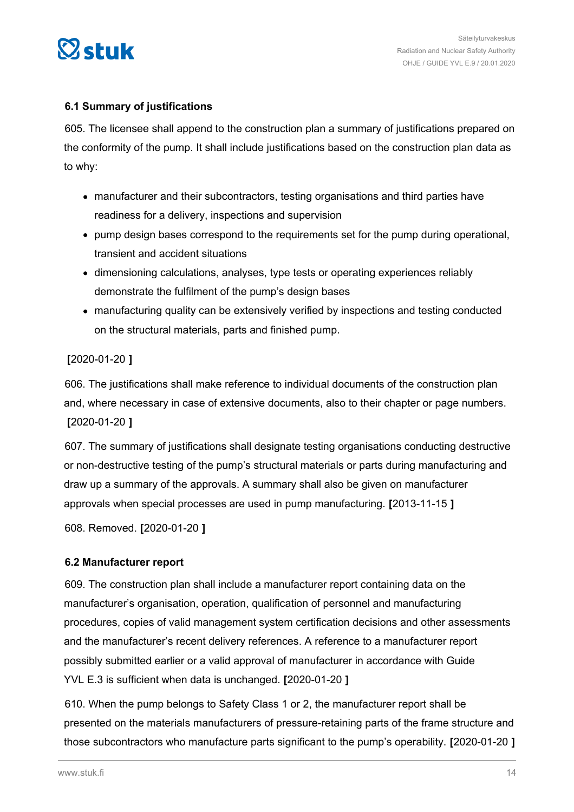<span id="page-13-0"></span>

### **6.1 Summary of justifications**

605. The licensee shall append to the construction plan a summary of justifications prepared on the conformity of the pump. It shall include justifications based on the construction plan data as to why:

- manufacturer and their subcontractors, testing organisations and third parties have readiness for a delivery, inspections and supervision
- pump design bases correspond to the requirements set for the pump during operational, transient and accident situations
- dimensioning calculations, analyses, type tests or operating experiences reliably demonstrate the fulfilment of the pump's design bases
- manufacturing quality can be extensively verified by inspections and testing conducted on the structural materials, parts and finished pump.

### **[**2020-01-20 **]**

606. The justifications shall make reference to individual documents of the construction plan and, where necessary in case of extensive documents, also to their chapter or page numbers. **[**2020-01-20 **]**

607. The summary of justifications shall designate testing organisations conducting destructive or non-destructive testing of the pump's structural materials or parts during manufacturing and draw up a summary of the approvals. A summary shall also be given on manufacturer approvals when special processes are used in pump manufacturing. **[**2013-11-15 **]**

608. Removed. **[**2020-01-20 **]**

### **6.2 Manufacturer report**

609. The construction plan shall include a manufacturer report containing data on the manufacturer's organisation, operation, qualification of personnel and manufacturing procedures, copies of valid management system certification decisions and other assessments and the manufacturer's recent delivery references. A reference to a manufacturer report possibly submitted earlier or a valid approval of manufacturer in accordance with Guide YVL E.3 is sufficient when data is unchanged. **[**2020-01-20 **]**

610. When the pump belongs to Safety Class 1 or 2, the manufacturer report shall be presented on the materials manufacturers of pressure-retaining parts of the frame structure and those subcontractors who manufacture parts significant to the pump's operability. **[**2020-01-20 **]**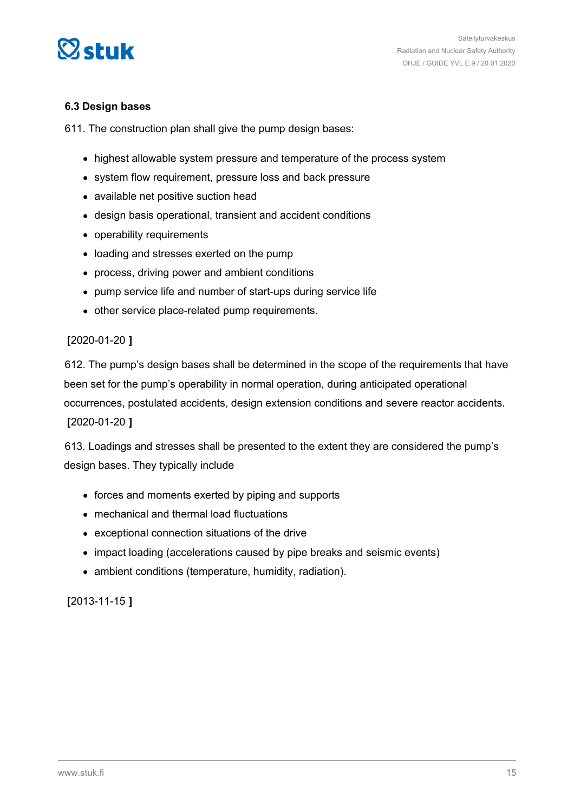<span id="page-14-0"></span>

#### **6.3 Design bases**

611. The construction plan shall give the pump design bases:

- highest allowable system pressure and temperature of the process system
- system flow requirement, pressure loss and back pressure
- available net positive suction head
- design basis operational, transient and accident conditions
- operability requirements
- loading and stresses exerted on the pump
- process, driving power and ambient conditions
- pump service life and number of start-ups during service life
- other service place-related pump requirements.

#### **[**2020-01-20 **]**

612. The pump's design bases shall be determined in the scope of the requirements that have been set for the pump's operability in normal operation, during anticipated operational occurrences, postulated accidents, design extension conditions and severe reactor accidents. **[**2020-01-20 **]**

613. Loadings and stresses shall be presented to the extent they are considered the pump's design bases. They typically include

- forces and moments exerted by piping and supports
- mechanical and thermal load fluctuations
- exceptional connection situations of the drive
- impact loading (accelerations caused by pipe breaks and seismic events)
- ambient conditions (temperature, humidity, radiation).

**[**2013-11-15 **]**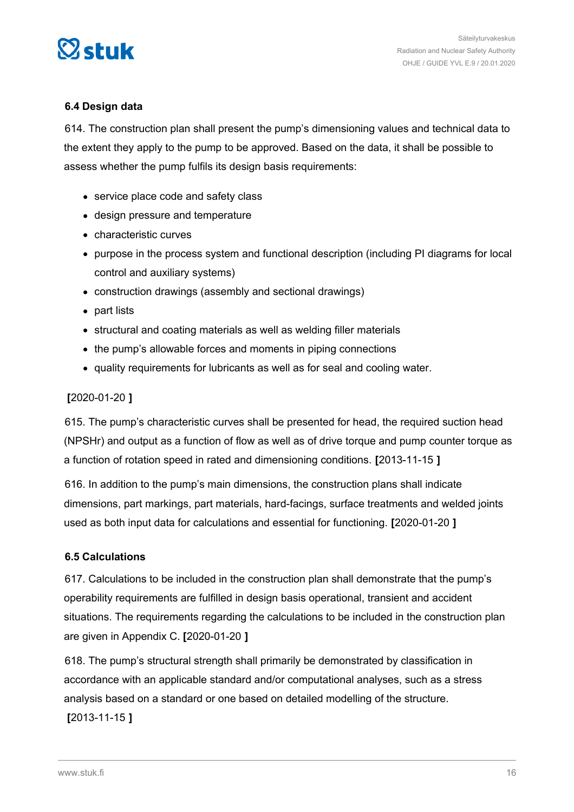<span id="page-15-0"></span>

### **6.4 Design data**

614. The construction plan shall present the pump's dimensioning values and technical data to the extent they apply to the pump to be approved. Based on the data, it shall be possible to assess whether the pump fulfils its design basis requirements:

- service place code and safety class
- design pressure and temperature
- characteristic curves
- purpose in the process system and functional description (including PI diagrams for local control and auxiliary systems)
- construction drawings (assembly and sectional drawings)
- part lists
- structural and coating materials as well as welding filler materials
- the pump's allowable forces and moments in piping connections
- quality requirements for lubricants as well as for seal and cooling water.

#### **[**2020-01-20 **]**

615. The pump's characteristic curves shall be presented for head, the required suction head (NPSHr) and output as a function of flow as well as of drive torque and pump counter torque as a function of rotation speed in rated and dimensioning conditions. **[**2013-11-15 **]**

616. In addition to the pump's main dimensions, the construction plans shall indicate dimensions, part markings, part materials, hard-facings, surface treatments and welded joints used as both input data for calculations and essential for functioning. **[**2020-01-20 **]**

#### **6.5 Calculations**

617. Calculations to be included in the construction plan shall demonstrate that the pump's operability requirements are fulfilled in design basis operational, transient and accident situations. The requirements regarding the calculations to be included in the construction plan are given in Appendix C. **[**2020-01-20 **]**

618. The pump's structural strength shall primarily be demonstrated by classification in accordance with an applicable standard and/or computational analyses, such as a stress analysis based on a standard or one based on detailed modelling of the structure. **[**2013-11-15 **]**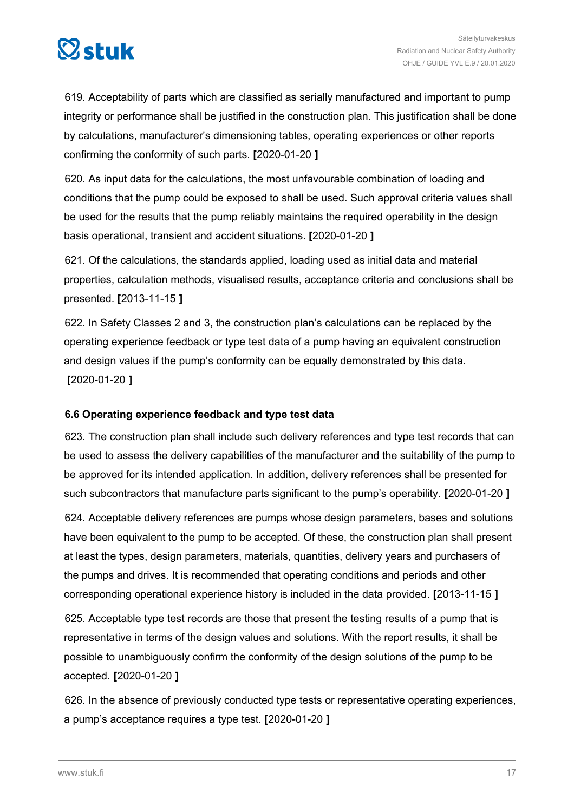<span id="page-16-0"></span>

619. Acceptability of parts which are classified as serially manufactured and important to pump integrity or performance shall be justified in the construction plan. This justification shall be done by calculations, manufacturer's dimensioning tables, operating experiences or other reports confirming the conformity of such parts. **[**2020-01-20 **]**

620. As input data for the calculations, the most unfavourable combination of loading and conditions that the pump could be exposed to shall be used. Such approval criteria values shall be used for the results that the pump reliably maintains the required operability in the design basis operational, transient and accident situations. **[**2020-01-20 **]**

621. Of the calculations, the standards applied, loading used as initial data and material properties, calculation methods, visualised results, acceptance criteria and conclusions shall be presented. **[**2013-11-15 **]**

622. In Safety Classes 2 and 3, the construction plan's calculations can be replaced by the operating experience feedback or type test data of a pump having an equivalent construction and design values if the pump's conformity can be equally demonstrated by this data. **[**2020-01-20 **]**

### **6.6 Operating experience feedback and type test data**

623. The construction plan shall include such delivery references and type test records that can be used to assess the delivery capabilities of the manufacturer and the suitability of the pump to be approved for its intended application. In addition, delivery references shall be presented for such subcontractors that manufacture parts significant to the pump's operability. **[**2020-01-20 **]**

624. Acceptable delivery references are pumps whose design parameters, bases and solutions have been equivalent to the pump to be accepted. Of these, the construction plan shall present at least the types, design parameters, materials, quantities, delivery years and purchasers of the pumps and drives. It is recommended that operating conditions and periods and other corresponding operational experience history is included in the data provided. **[**2013-11-15 **]**

625. Acceptable type test records are those that present the testing results of a pump that is representative in terms of the design values and solutions. With the report results, it shall be possible to unambiguously confirm the conformity of the design solutions of the pump to be accepted. **[**2020-01-20 **]**

626. In the absence of previously conducted type tests or representative operating experiences, a pump's acceptance requires a type test. **[**2020-01-20 **]**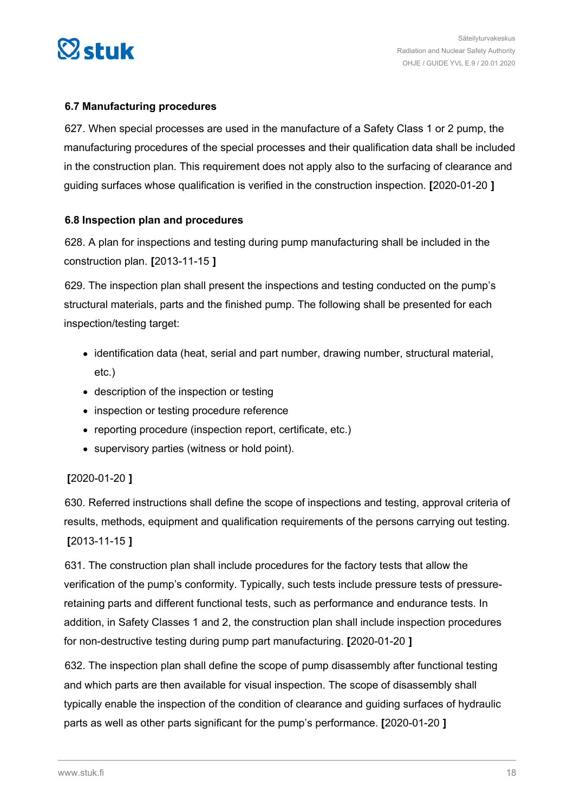<span id="page-17-0"></span>

### **6.7 Manufacturing procedures**

627. When special processes are used in the manufacture of a Safety Class 1 or 2 pump, the manufacturing procedures of the special processes and their qualification data shall be included in the construction plan. This requirement does not apply also to the surfacing of clearance and guiding surfaces whose qualification is verified in the construction inspection. **[**2020-01-20 **]**

### **6.8 Inspection plan and procedures**

628. A plan for inspections and testing during pump manufacturing shall be included in the construction plan. **[**2013-11-15 **]**

629. The inspection plan shall present the inspections and testing conducted on the pump's structural materials, parts and the finished pump. The following shall be presented for each inspection/testing target:

- identification data (heat, serial and part number, drawing number, structural material, etc.)
- description of the inspection or testing
- inspection or testing procedure reference
- reporting procedure (inspection report, certificate, etc.)
- supervisory parties (witness or hold point).

### **[**2020-01-20 **]**

630. Referred instructions shall define the scope of inspections and testing, approval criteria of results, methods, equipment and qualification requirements of the persons carrying out testing. **[**2013-11-15 **]**

631. The construction plan shall include procedures for the factory tests that allow the verification of the pump's conformity. Typically, such tests include pressure tests of pressureretaining parts and different functional tests, such as performance and endurance tests. In addition, in Safety Classes 1 and 2, the construction plan shall include inspection procedures for non-destructive testing during pump part manufacturing. **[**2020-01-20 **]**

632. The inspection plan shall define the scope of pump disassembly after functional testing and which parts are then available for visual inspection. The scope of disassembly shall typically enable the inspection of the condition of clearance and guiding surfaces of hydraulic parts as well as other parts significant for the pump's performance. **[**2020-01-20 **]**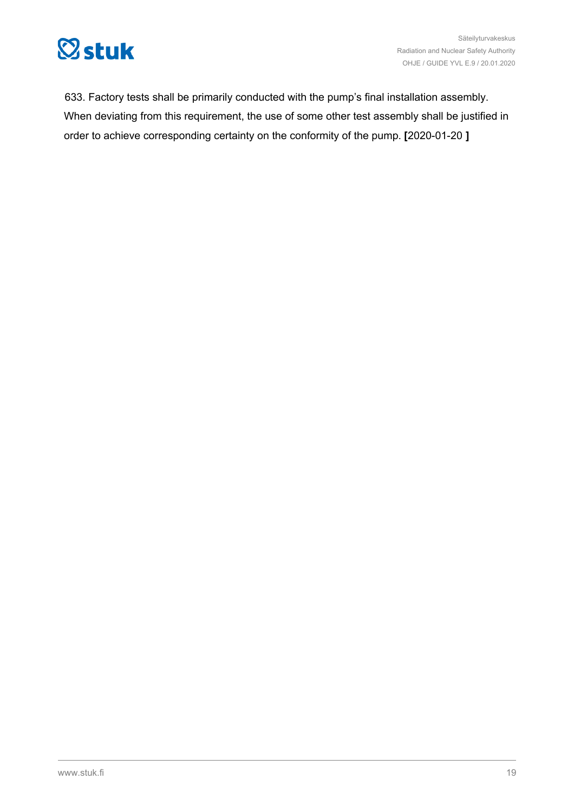

633. Factory tests shall be primarily conducted with the pump's final installation assembly. When deviating from this requirement, the use of some other test assembly shall be justified in order to achieve corresponding certainty on the conformity of the pump. **[**2020-01-20 **]**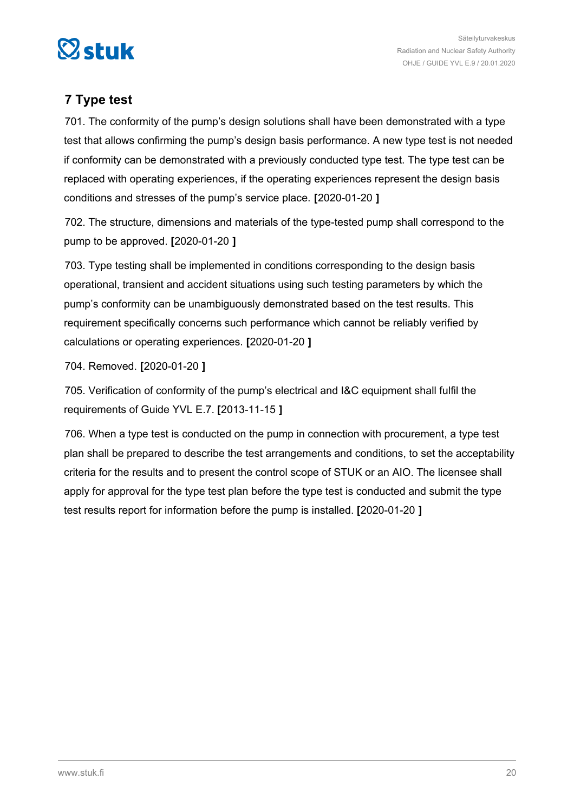<span id="page-19-0"></span>

### **7 Type test**

701. The conformity of the pump's design solutions shall have been demonstrated with a type test that allows confirming the pump's design basis performance. A new type test is not needed if conformity can be demonstrated with a previously conducted type test. The type test can be replaced with operating experiences, if the operating experiences represent the design basis conditions and stresses of the pump's service place. **[**2020-01-20 **]**

702. The structure, dimensions and materials of the type-tested pump shall correspond to the pump to be approved. **[**2020-01-20 **]**

703. Type testing shall be implemented in conditions corresponding to the design basis operational, transient and accident situations using such testing parameters by which the pump's conformity can be unambiguously demonstrated based on the test results. This requirement specifically concerns such performance which cannot be reliably verified by calculations or operating experiences. **[**2020-01-20 **]**

704. Removed. **[**2020-01-20 **]**

705. Verification of conformity of the pump's electrical and I&C equipment shall fulfil the requirements of Guide YVL E.7. **[**2013-11-15 **]**

706. When a type test is conducted on the pump in connection with procurement, a type test plan shall be prepared to describe the test arrangements and conditions, to set the acceptability criteria for the results and to present the control scope of STUK or an AIO. The licensee shall apply for approval for the type test plan before the type test is conducted and submit the type test results report for information before the pump is installed. **[**2020-01-20 **]**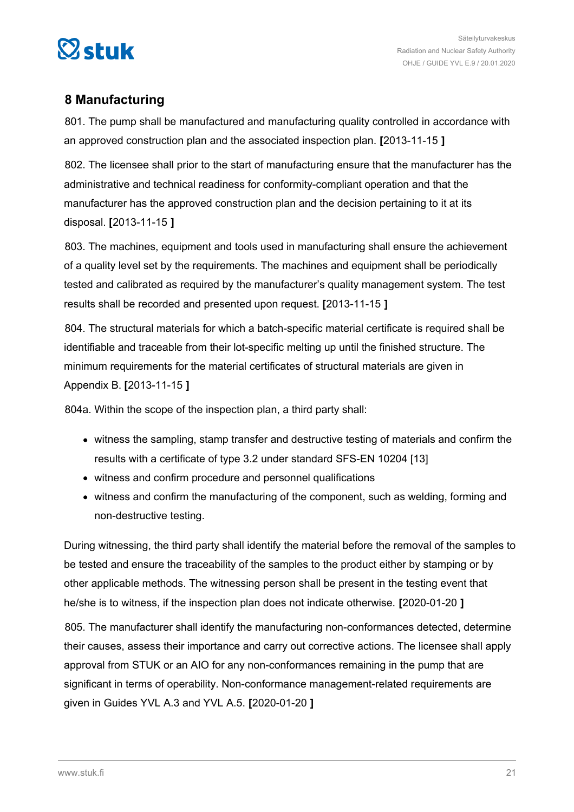<span id="page-20-0"></span>

### **8 Manufacturing**

801. The pump shall be manufactured and manufacturing quality controlled in accordance with an approved construction plan and the associated inspection plan. **[**2013-11-15 **]**

802. The licensee shall prior to the start of manufacturing ensure that the manufacturer has the administrative and technical readiness for conformity-compliant operation and that the manufacturer has the approved construction plan and the decision pertaining to it at its disposal. **[**2013-11-15 **]**

803. The machines, equipment and tools used in manufacturing shall ensure the achievement of a quality level set by the requirements. The machines and equipment shall be periodically tested and calibrated as required by the manufacturer's quality management system. The test results shall be recorded and presented upon request. **[**2013-11-15 **]**

804. The structural materials for which a batch-specific material certificate is required shall be identifiable and traceable from their lot-specific melting up until the finished structure. The minimum requirements for the material certificates of structural materials are given in Appendix B. **[**2013-11-15 **]**

804a. Within the scope of the inspection plan, a third party shall:

- witness the sampling, stamp transfer and destructive testing of materials and confirm the results with a certificate of type 3.2 under standard SFS-EN 10204 [13]
- witness and confirm procedure and personnel qualifications
- witness and confirm the manufacturing of the component, such as welding, forming and non-destructive testing.

During witnessing, the third party shall identify the material before the removal of the samples to be tested and ensure the traceability of the samples to the product either by stamping or by other applicable methods. The witnessing person shall be present in the testing event that he/she is to witness, if the inspection plan does not indicate otherwise. **[**2020-01-20 **]**

805. The manufacturer shall identify the manufacturing non-conformances detected, determine their causes, assess their importance and carry out corrective actions. The licensee shall apply approval from STUK or an AIO for any non-conformances remaining in the pump that are significant in terms of operability. Non-conformance management-related requirements are given in Guides YVL A.3 and YVL A.5. **[**2020-01-20 **]**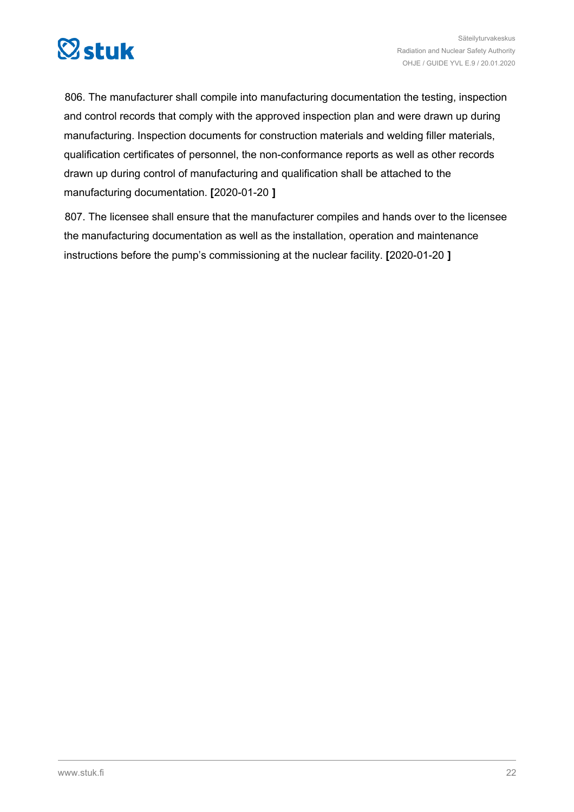

806. The manufacturer shall compile into manufacturing documentation the testing, inspection and control records that comply with the approved inspection plan and were drawn up during manufacturing. Inspection documents for construction materials and welding filler materials, qualification certificates of personnel, the non-conformance reports as well as other records drawn up during control of manufacturing and qualification shall be attached to the manufacturing documentation. **[**2020-01-20 **]**

807. The licensee shall ensure that the manufacturer compiles and hands over to the licensee the manufacturing documentation as well as the installation, operation and maintenance instructions before the pump's commissioning at the nuclear facility. **[**2020-01-20 **]**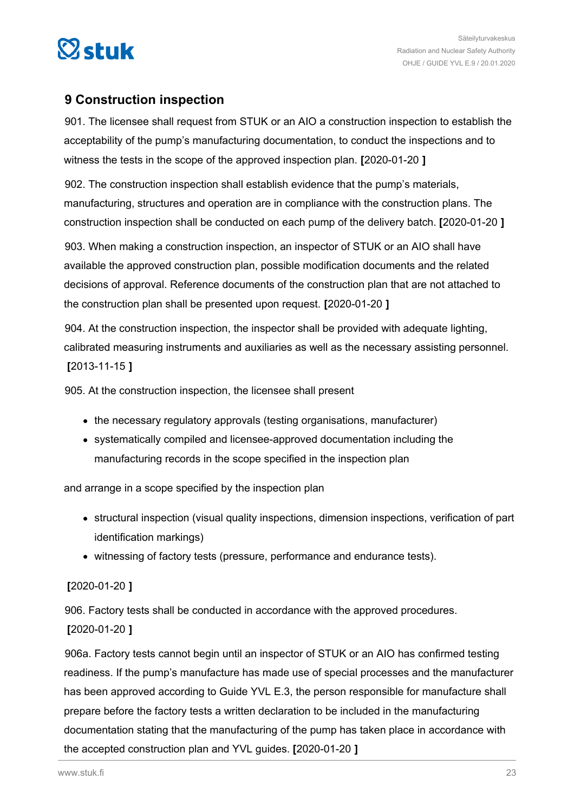<span id="page-22-0"></span>

### **9 Construction inspection**

901. The licensee shall request from STUK or an AIO a construction inspection to establish the acceptability of the pump's manufacturing documentation, to conduct the inspections and to witness the tests in the scope of the approved inspection plan. **[**2020-01-20 **]**

902. The construction inspection shall establish evidence that the pump's materials, manufacturing, structures and operation are in compliance with the construction plans. The construction inspection shall be conducted on each pump of the delivery batch. **[**2020-01-20 **]**

903. When making a construction inspection, an inspector of STUK or an AIO shall have available the approved construction plan, possible modification documents and the related decisions of approval. Reference documents of the construction plan that are not attached to the construction plan shall be presented upon request. **[**2020-01-20 **]**

904. At the construction inspection, the inspector shall be provided with adequate lighting, calibrated measuring instruments and auxiliaries as well as the necessary assisting personnel. **[**2013-11-15 **]**

905. At the construction inspection, the licensee shall present

- the necessary regulatory approvals (testing organisations, manufacturer)
- systematically compiled and licensee-approved documentation including the manufacturing records in the scope specified in the inspection plan

and arrange in a scope specified by the inspection plan

- structural inspection (visual quality inspections, dimension inspections, verification of part identification markings)
- witnessing of factory tests (pressure, performance and endurance tests).

### **[**2020-01-20 **]**

906. Factory tests shall be conducted in accordance with the approved procedures.

### **[**2020-01-20 **]**

906a. Factory tests cannot begin until an inspector of STUK or an AIO has confirmed testing readiness. If the pump's manufacture has made use of special processes and the manufacturer has been approved according to Guide YVL E.3, the person responsible for manufacture shall prepare before the factory tests a written declaration to be included in the manufacturing documentation stating that the manufacturing of the pump has taken place in accordance with the accepted construction plan and YVL guides. **[**2020-01-20 **]**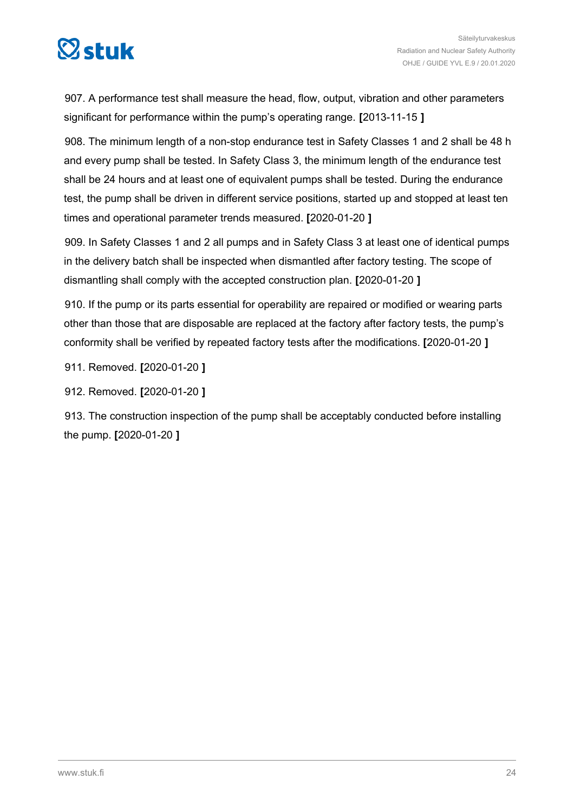

907. A performance test shall measure the head, flow, output, vibration and other parameters significant for performance within the pump's operating range. **[**2013-11-15 **]**

908. The minimum length of a non-stop endurance test in Safety Classes 1 and 2 shall be 48 h and every pump shall be tested. In Safety Class 3, the minimum length of the endurance test shall be 24 hours and at least one of equivalent pumps shall be tested. During the endurance test, the pump shall be driven in different service positions, started up and stopped at least ten times and operational parameter trends measured. **[**2020-01-20 **]**

909. In Safety Classes 1 and 2 all pumps and in Safety Class 3 at least one of identical pumps in the delivery batch shall be inspected when dismantled after factory testing. The scope of dismantling shall comply with the accepted construction plan. **[**2020-01-20 **]**

910. If the pump or its parts essential for operability are repaired or modified or wearing parts other than those that are disposable are replaced at the factory after factory tests, the pump's conformity shall be verified by repeated factory tests after the modifications. **[**2020-01-20 **]**

911. Removed. **[**2020-01-20 **]**

912. Removed. **[**2020-01-20 **]**

913. The construction inspection of the pump shall be acceptably conducted before installing the pump. **[**2020-01-20 **]**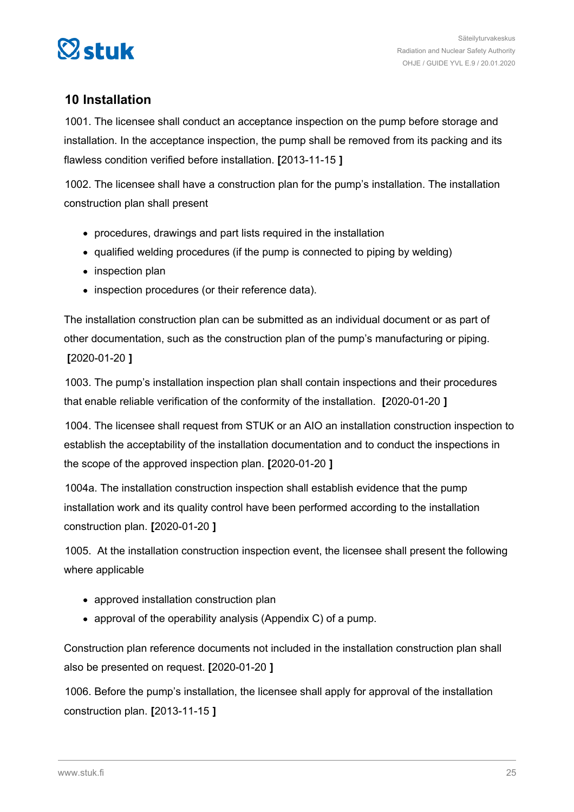<span id="page-24-0"></span>

### **10 Installation**

1001. The licensee shall conduct an acceptance inspection on the pump before storage and installation. In the acceptance inspection, the pump shall be removed from its packing and its flawless condition verified before installation. **[**2013-11-15 **]**

1002. The licensee shall have a construction plan for the pump's installation. The installation construction plan shall present

- procedures, drawings and part lists required in the installation
- qualified welding procedures (if the pump is connected to piping by welding)
- inspection plan
- inspection procedures (or their reference data).

The installation construction plan can be submitted as an individual document or as part of other documentation, such as the construction plan of the pump's manufacturing or piping. **[**2020-01-20 **]**

1003. The pump's installation inspection plan shall contain inspections and their procedures that enable reliable verification of the conformity of the installation. **[**2020-01-20 **]**

1004. The licensee shall request from STUK or an AIO an installation construction inspection to establish the acceptability of the installation documentation and to conduct the inspections in the scope of the approved inspection plan. **[**2020-01-20 **]**

1004a. The installation construction inspection shall establish evidence that the pump installation work and its quality control have been performed according to the installation construction plan. **[**2020-01-20 **]**

1005. At the installation construction inspection event, the licensee shall present the following where applicable

- approved installation construction plan
- approval of the operability analysis (Appendix C) of a pump.

Construction plan reference documents not included in the installation construction plan shall also be presented on request. **[**2020-01-20 **]**

1006. Before the pump's installation, the licensee shall apply for approval of the installation construction plan. **[**2013-11-15 **]**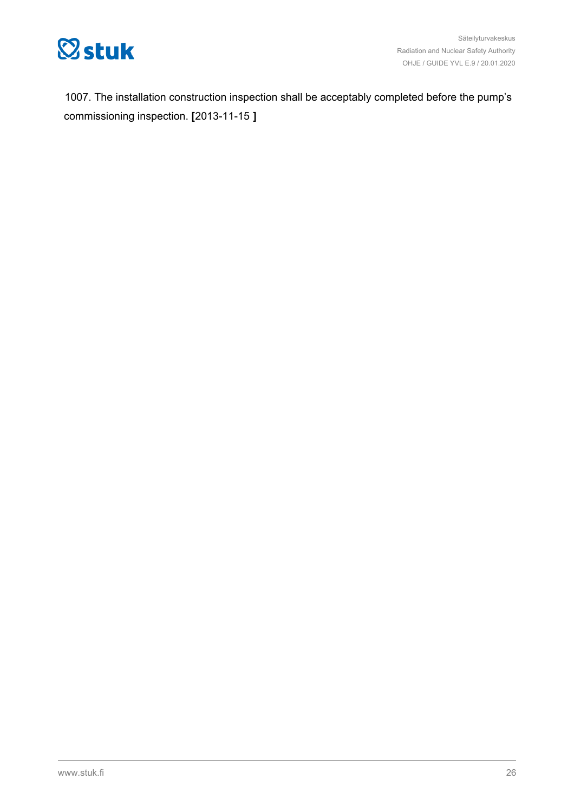

1007. The installation construction inspection shall be acceptably completed before the pump's commissioning inspection. **[**2013-11-15 **]**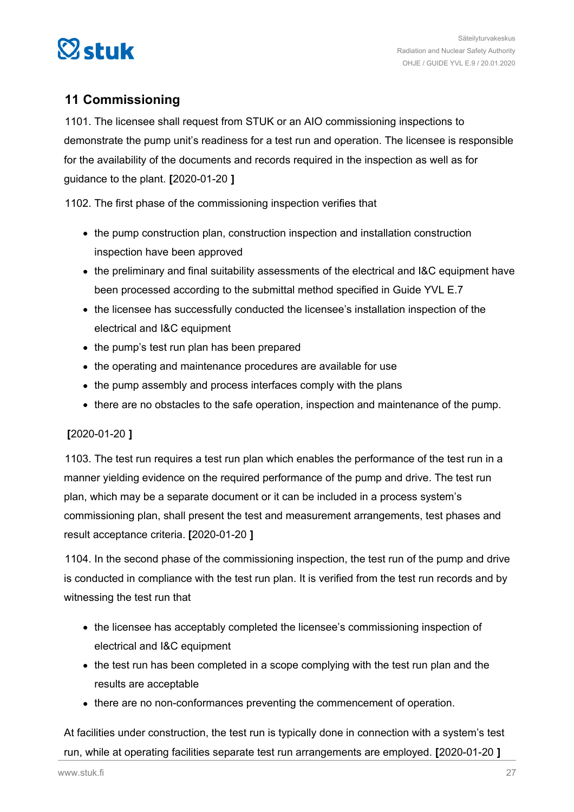<span id="page-26-0"></span>

### **11 Commissioning**

1101. The licensee shall request from STUK or an AIO commissioning inspections to demonstrate the pump unit's readiness for a test run and operation. The licensee is responsible for the availability of the documents and records required in the inspection as well as for guidance to the plant. **[**2020-01-20 **]**

1102. The first phase of the commissioning inspection verifies that

- the pump construction plan, construction inspection and installation construction inspection have been approved
- the preliminary and final suitability assessments of the electrical and I&C equipment have been processed according to the submittal method specified in Guide YVL E.7
- the licensee has successfully conducted the licensee's installation inspection of the electrical and I&C equipment
- the pump's test run plan has been prepared
- the operating and maintenance procedures are available for use
- the pump assembly and process interfaces comply with the plans
- there are no obstacles to the safe operation, inspection and maintenance of the pump.

### **[**2020-01-20 **]**

1103. The test run requires a test run plan which enables the performance of the test run in a manner yielding evidence on the required performance of the pump and drive. The test run plan, which may be a separate document or it can be included in a process system's commissioning plan, shall present the test and measurement arrangements, test phases and result acceptance criteria. **[**2020-01-20 **]**

1104. In the second phase of the commissioning inspection, the test run of the pump and drive is conducted in compliance with the test run plan. It is verified from the test run records and by witnessing the test run that

- the licensee has acceptably completed the licensee's commissioning inspection of electrical and I&C equipment
- the test run has been completed in a scope complying with the test run plan and the results are acceptable
- there are no non-conformances preventing the commencement of operation.

At facilities under construction, the test run is typically done in connection with a system's test run, while at operating facilities separate test run arrangements are employed. **[**2020-01-20 **]**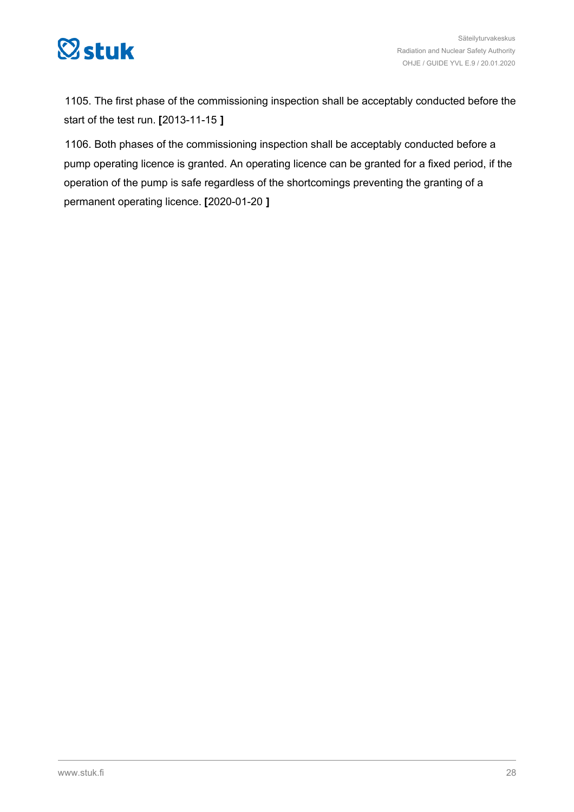

1105. The first phase of the commissioning inspection shall be acceptably conducted before the start of the test run. **[**2013-11-15 **]**

1106. Both phases of the commissioning inspection shall be acceptably conducted before a pump operating licence is granted. An operating licence can be granted for a fixed period, if the operation of the pump is safe regardless of the shortcomings preventing the granting of a permanent operating licence. **[**2020-01-20 **]**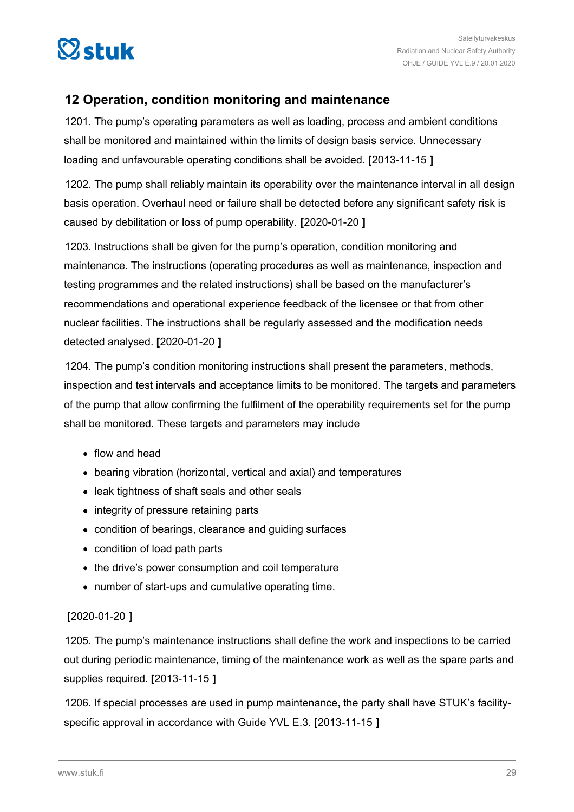<span id="page-28-0"></span>

### **12 Operation, condition monitoring and maintenance**

1201. The pump's operating parameters as well as loading, process and ambient conditions shall be monitored and maintained within the limits of design basis service. Unnecessary loading and unfavourable operating conditions shall be avoided. **[**2013-11-15 **]**

1202. The pump shall reliably maintain its operability over the maintenance interval in all design basis operation. Overhaul need or failure shall be detected before any significant safety risk is caused by debilitation or loss of pump operability. **[**2020-01-20 **]**

1203. Instructions shall be given for the pump's operation, condition monitoring and maintenance. The instructions (operating procedures as well as maintenance, inspection and testing programmes and the related instructions) shall be based on the manufacturer's recommendations and operational experience feedback of the licensee or that from other nuclear facilities. The instructions shall be regularly assessed and the modification needs detected analysed. **[**2020-01-20 **]**

1204. The pump's condition monitoring instructions shall present the parameters, methods, inspection and test intervals and acceptance limits to be monitored. The targets and parameters of the pump that allow confirming the fulfilment of the operability requirements set for the pump shall be monitored. These targets and parameters may include

- flow and head
- bearing vibration (horizontal, vertical and axial) and temperatures
- leak tightness of shaft seals and other seals
- integrity of pressure retaining parts
- condition of bearings, clearance and guiding surfaces
- condition of load path parts
- the drive's power consumption and coil temperature
- number of start-ups and cumulative operating time.

### **[**2020-01-20 **]**

1205. The pump's maintenance instructions shall define the work and inspections to be carried out during periodic maintenance, timing of the maintenance work as well as the spare parts and supplies required. **[**2013-11-15 **]**

1206. If special processes are used in pump maintenance, the party shall have STUK's facilityspecific approval in accordance with Guide YVL E.3. **[**2013-11-15 **]**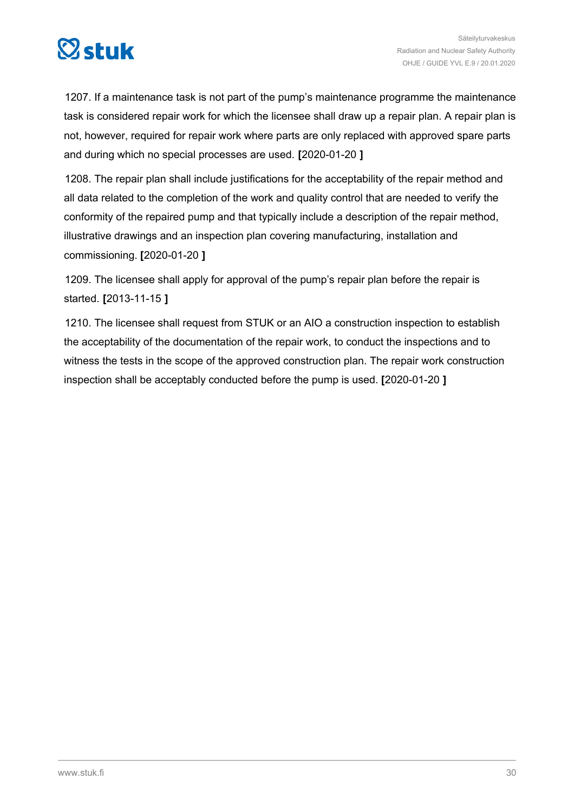

1207. If a maintenance task is not part of the pump's maintenance programme the maintenance task is considered repair work for which the licensee shall draw up a repair plan. A repair plan is not, however, required for repair work where parts are only replaced with approved spare parts and during which no special processes are used. **[**2020-01-20 **]**

1208. The repair plan shall include justifications for the acceptability of the repair method and all data related to the completion of the work and quality control that are needed to verify the conformity of the repaired pump and that typically include a description of the repair method, illustrative drawings and an inspection plan covering manufacturing, installation and commissioning. **[**2020-01-20 **]**

1209. The licensee shall apply for approval of the pump's repair plan before the repair is started. **[**2013-11-15 **]**

1210. The licensee shall request from STUK or an AIO a construction inspection to establish the acceptability of the documentation of the repair work, to conduct the inspections and to witness the tests in the scope of the approved construction plan. The repair work construction inspection shall be acceptably conducted before the pump is used. **[**2020-01-20 **]**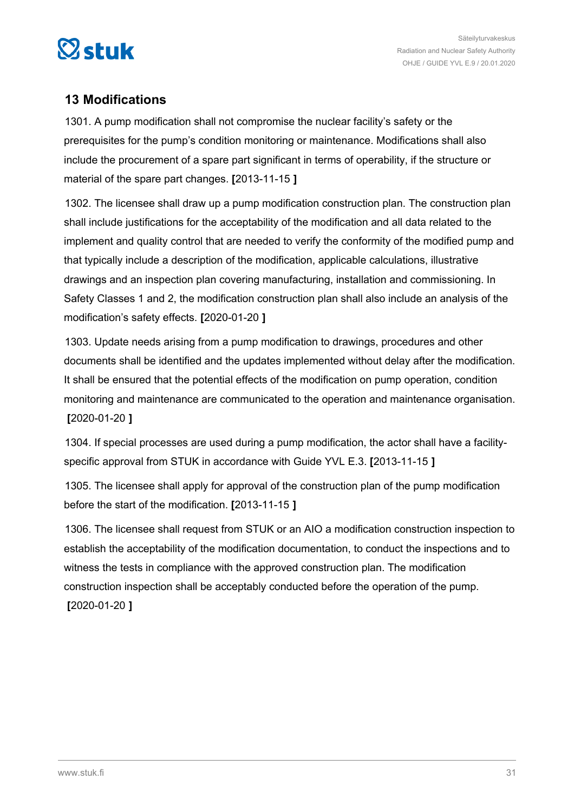<span id="page-30-0"></span>

### **13 Modifications**

1301. A pump modification shall not compromise the nuclear facility's safety or the prerequisites for the pump's condition monitoring or maintenance. Modifications shall also include the procurement of a spare part significant in terms of operability, if the structure or material of the spare part changes. **[**2013-11-15 **]**

1302. The licensee shall draw up a pump modification construction plan. The construction plan shall include justifications for the acceptability of the modification and all data related to the implement and quality control that are needed to verify the conformity of the modified pump and that typically include a description of the modification, applicable calculations, illustrative drawings and an inspection plan covering manufacturing, installation and commissioning. In Safety Classes 1 and 2, the modification construction plan shall also include an analysis of the modification's safety effects. **[**2020-01-20 **]**

1303. Update needs arising from a pump modification to drawings, procedures and other documents shall be identified and the updates implemented without delay after the modification. It shall be ensured that the potential effects of the modification on pump operation, condition monitoring and maintenance are communicated to the operation and maintenance organisation. **[**2020-01-20 **]**

1304. If special processes are used during a pump modification, the actor shall have a facilityspecific approval from STUK in accordance with Guide YVL E.3. **[**2013-11-15 **]**

1305. The licensee shall apply for approval of the construction plan of the pump modification before the start of the modification. **[**2013-11-15 **]**

1306. The licensee shall request from STUK or an AIO a modification construction inspection to establish the acceptability of the modification documentation, to conduct the inspections and to witness the tests in compliance with the approved construction plan. The modification construction inspection shall be acceptably conducted before the operation of the pump. **[**2020-01-20 **]**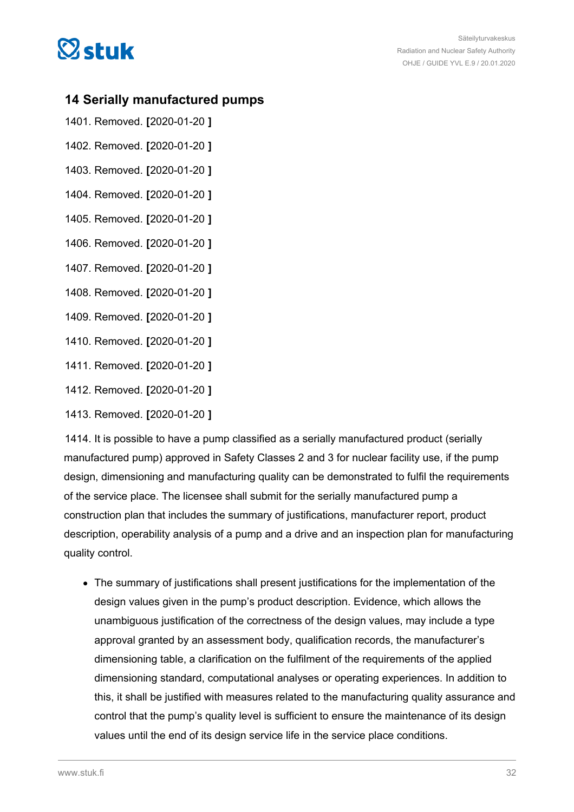<span id="page-31-0"></span>

### **14 Serially manufactured pumps**

- 1401. Removed. **[**2020-01-20 **]**
- 1402. Removed. **[**2020-01-20 **]**
- 1403. Removed. **[**2020-01-20 **]**
- 1404. Removed. **[**2020-01-20 **]**
- 1405. Removed. **[**2020-01-20 **]**
- 1406. Removed. **[**2020-01-20 **]**
- 1407. Removed. **[**2020-01-20 **]**
- 1408. Removed. **[**2020-01-20 **]**
- 1409. Removed. **[**2020-01-20 **]**
- 1410. Removed. **[**2020-01-20 **]**
- 1411. Removed. **[**2020-01-20 **]**
- 1412. Removed. **[**2020-01-20 **]**
- 1413. Removed. **[**2020-01-20 **]**

1414. It is possible to have a pump classified as a serially manufactured product (serially manufactured pump) approved in Safety Classes 2 and 3 for nuclear facility use, if the pump design, dimensioning and manufacturing quality can be demonstrated to fulfil the requirements of the service place. The licensee shall submit for the serially manufactured pump a construction plan that includes the summary of justifications, manufacturer report, product description, operability analysis of a pump and a drive and an inspection plan for manufacturing quality control.

The summary of justifications shall present justifications for the implementation of the design values given in the pump's product description. Evidence, which allows the unambiguous justification of the correctness of the design values, may include a type approval granted by an assessment body, qualification records, the manufacturer's dimensioning table, a clarification on the fulfilment of the requirements of the applied dimensioning standard, computational analyses or operating experiences. In addition to this, it shall be justified with measures related to the manufacturing quality assurance and control that the pump's quality level is sufficient to ensure the maintenance of its design values until the end of its design service life in the service place conditions.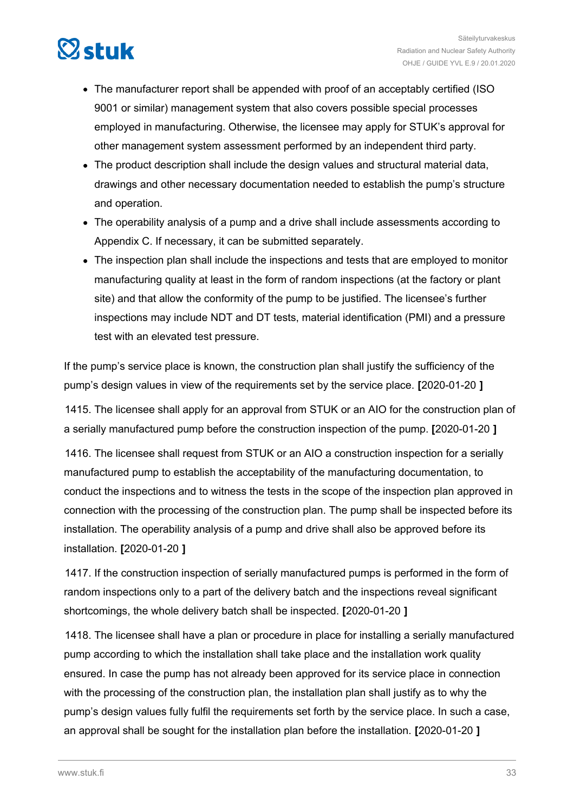

- The manufacturer report shall be appended with proof of an acceptably certified (ISO 9001 or similar) management system that also covers possible special processes employed in manufacturing. Otherwise, the licensee may apply for STUK's approval for other management system assessment performed by an independent third party.
- The product description shall include the design values and structural material data, drawings and other necessary documentation needed to establish the pump's structure and operation.
- The operability analysis of a pump and a drive shall include assessments according to Appendix C. If necessary, it can be submitted separately.
- The inspection plan shall include the inspections and tests that are employed to monitor manufacturing quality at least in the form of random inspections (at the factory or plant site) and that allow the conformity of the pump to be justified. The licensee's further inspections may include NDT and DT tests, material identification (PMI) and a pressure test with an elevated test pressure.

If the pump's service place is known, the construction plan shall justify the sufficiency of the pump's design values in view of the requirements set by the service place. **[**2020-01-20 **]**

1415. The licensee shall apply for an approval from STUK or an AIO for the construction plan of a serially manufactured pump before the construction inspection of the pump. **[**2020-01-20 **]**

1416. The licensee shall request from STUK or an AIO a construction inspection for a serially manufactured pump to establish the acceptability of the manufacturing documentation, to conduct the inspections and to witness the tests in the scope of the inspection plan approved in connection with the processing of the construction plan. The pump shall be inspected before its installation. The operability analysis of a pump and drive shall also be approved before its installation. **[**2020-01-20 **]**

1417. If the construction inspection of serially manufactured pumps is performed in the form of random inspections only to a part of the delivery batch and the inspections reveal significant shortcomings, the whole delivery batch shall be inspected. **[**2020-01-20 **]**

1418. The licensee shall have a plan or procedure in place for installing a serially manufactured pump according to which the installation shall take place and the installation work quality ensured. In case the pump has not already been approved for its service place in connection with the processing of the construction plan, the installation plan shall justify as to why the pump's design values fully fulfil the requirements set forth by the service place. In such a case, an approval shall be sought for the installation plan before the installation. **[**2020-01-20 **]**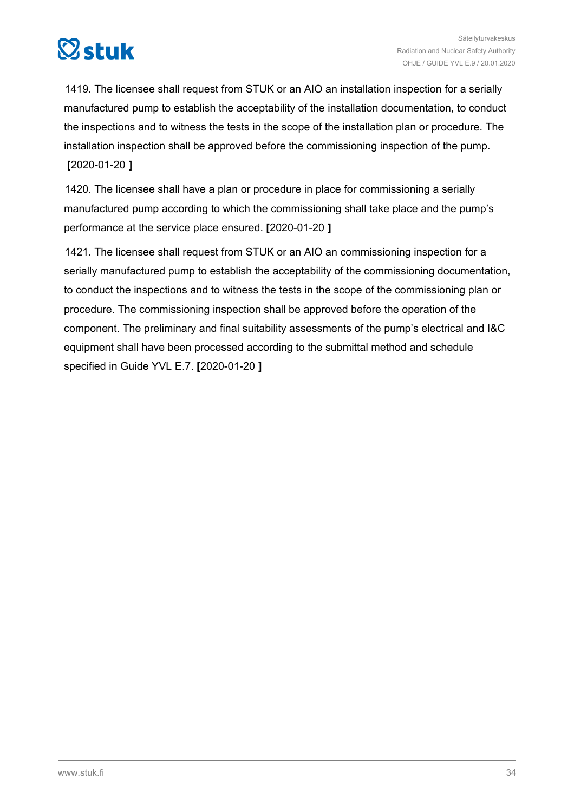

1419. The licensee shall request from STUK or an AIO an installation inspection for a serially manufactured pump to establish the acceptability of the installation documentation, to conduct the inspections and to witness the tests in the scope of the installation plan or procedure. The installation inspection shall be approved before the commissioning inspection of the pump. **[**2020-01-20 **]**

1420. The licensee shall have a plan or procedure in place for commissioning a serially manufactured pump according to which the commissioning shall take place and the pump's performance at the service place ensured. **[**2020-01-20 **]**

1421. The licensee shall request from STUK or an AIO an commissioning inspection for a serially manufactured pump to establish the acceptability of the commissioning documentation, to conduct the inspections and to witness the tests in the scope of the commissioning plan or procedure. The commissioning inspection shall be approved before the operation of the component. The preliminary and final suitability assessments of the pump's electrical and I&C equipment shall have been processed according to the submittal method and schedule specified in Guide YVL E.7. **[**2020-01-20 **]**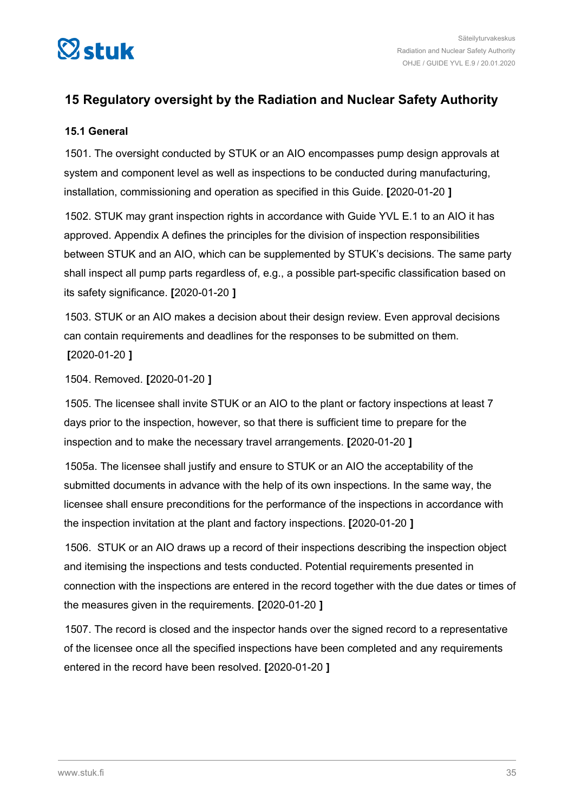<span id="page-34-0"></span>

### **15 Regulatory oversight by the Radiation and Nuclear Safety Authority**

#### **15.1 General**

1501. The oversight conducted by STUK or an AIO encompasses pump design approvals at system and component level as well as inspections to be conducted during manufacturing, installation, commissioning and operation as specified in this Guide. **[**2020-01-20 **]**

1502. STUK may grant inspection rights in accordance with Guide YVL E.1 to an AIO it has approved. Appendix A defines the principles for the division of inspection responsibilities between STUK and an AIO, which can be supplemented by STUK's decisions. The same party shall inspect all pump parts regardless of, e.g., a possible part-specific classification based on its safety significance. **[**2020-01-20 **]**

1503. STUK or an AIO makes a decision about their design review. Even approval decisions can contain requirements and deadlines for the responses to be submitted on them. **[**2020-01-20 **]**

1504. Removed. **[**2020-01-20 **]**

1505. The licensee shall invite STUK or an AIO to the plant or factory inspections at least 7 days prior to the inspection, however, so that there is sufficient time to prepare for the inspection and to make the necessary travel arrangements. **[**2020-01-20 **]**

1505a. The licensee shall justify and ensure to STUK or an AIO the acceptability of the submitted documents in advance with the help of its own inspections. In the same way, the licensee shall ensure preconditions for the performance of the inspections in accordance with the inspection invitation at the plant and factory inspections. **[**2020-01-20 **]**

1506. STUK or an AIO draws up a record of their inspections describing the inspection object and itemising the inspections and tests conducted. Potential requirements presented in connection with the inspections are entered in the record together with the due dates or times of the measures given in the requirements. **[**2020-01-20 **]**

1507. The record is closed and the inspector hands over the signed record to a representative of the licensee once all the specified inspections have been completed and any requirements entered in the record have been resolved. **[**2020-01-20 **]**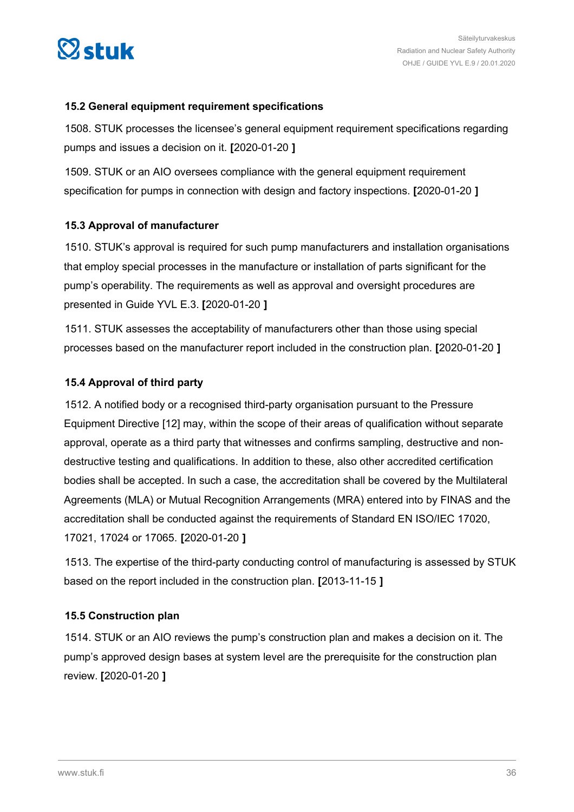<span id="page-35-0"></span>

#### **15.2 General equipment requirement specifications**

1508. STUK processes the licensee's general equipment requirement specifications regarding pumps and issues a decision on it. **[**2020-01-20 **]**

1509. STUK or an AIO oversees compliance with the general equipment requirement specification for pumps in connection with design and factory inspections. **[**2020-01-20 **]**

### **15.3 Approval of manufacturer**

1510. STUK's approval is required for such pump manufacturers and installation organisations that employ special processes in the manufacture or installation of parts significant for the pump's operability. The requirements as well as approval and oversight procedures are presented in Guide YVL E.3. **[**2020-01-20 **]**

1511. STUK assesses the acceptability of manufacturers other than those using special processes based on the manufacturer report included in the construction plan. **[**2020-01-20 **]**

#### **15.4 Approval of third party**

1512. A notified body or a recognised third-party organisation pursuant to the Pressure Equipment Directive [12] may, within the scope of their areas of qualification without separate approval, operate as a third party that witnesses and confirms sampling, destructive and nondestructive testing and qualifications. In addition to these, also other accredited certification bodies shall be accepted. In such a case, the accreditation shall be covered by the Multilateral Agreements (MLA) or Mutual Recognition Arrangements (MRA) entered into by FINAS and the accreditation shall be conducted against the requirements of Standard EN ISO/IEC 17020, 17021, 17024 or 17065. **[**2020-01-20 **]**

1513. The expertise of the third-party conducting control of manufacturing is assessed by STUK based on the report included in the construction plan. **[**2013-11-15 **]**

### **15.5 Construction plan**

1514. STUK or an AIO reviews the pump's construction plan and makes a decision on it. The pump's approved design bases at system level are the prerequisite for the construction plan review. **[**2020-01-20 **]**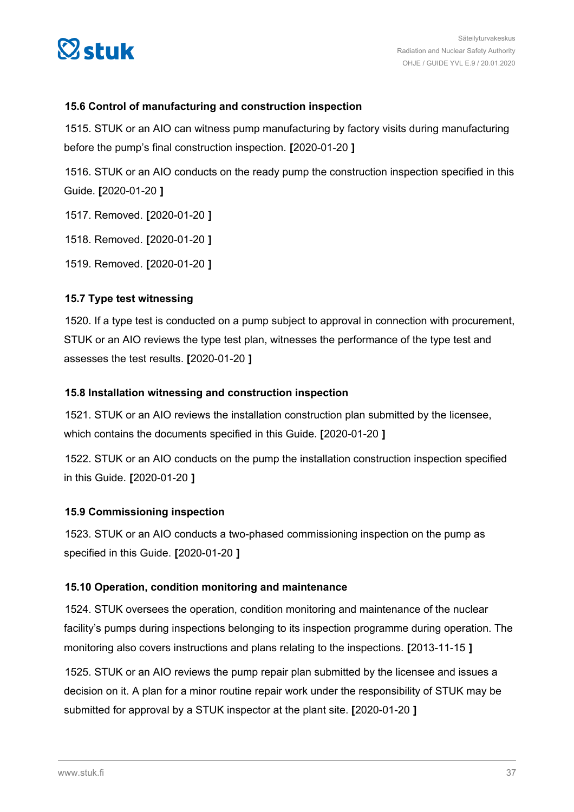<span id="page-36-0"></span>

### **15.6 Control of manufacturing and construction inspection**

1515. STUK or an AIO can witness pump manufacturing by factory visits during manufacturing before the pump's final construction inspection. **[**2020-01-20 **]**

1516. STUK or an AIO conducts on the ready pump the construction inspection specified in this Guide. **[**2020-01-20 **]**

1517. Removed. **[**2020-01-20 **]**

1518. Removed. **[**2020-01-20 **]**

1519. Removed. **[**2020-01-20 **]**

#### **15.7 Type test witnessing**

1520. If a type test is conducted on a pump subject to approval in connection with procurement, STUK or an AIO reviews the type test plan, witnesses the performance of the type test and assesses the test results. **[**2020-01-20 **]**

#### **15.8 Installation witnessing and construction inspection**

1521. STUK or an AIO reviews the installation construction plan submitted by the licensee, which contains the documents specified in this Guide. **[**2020-01-20 **]**

1522. STUK or an AIO conducts on the pump the installation construction inspection specified in this Guide. **[**2020-01-20 **]**

#### **15.9 Commissioning inspection**

1523. STUK or an AIO conducts a two-phased commissioning inspection on the pump as specified in this Guide. **[**2020-01-20 **]**

#### **15.10 Operation, condition monitoring and maintenance**

1524. STUK oversees the operation, condition monitoring and maintenance of the nuclear facility's pumps during inspections belonging to its inspection programme during operation. The monitoring also covers instructions and plans relating to the inspections. **[**2013-11-15 **]**

1525. STUK or an AIO reviews the pump repair plan submitted by the licensee and issues a decision on it. A plan for a minor routine repair work under the responsibility of STUK may be submitted for approval by a STUK inspector at the plant site. **[**2020-01-20 **]**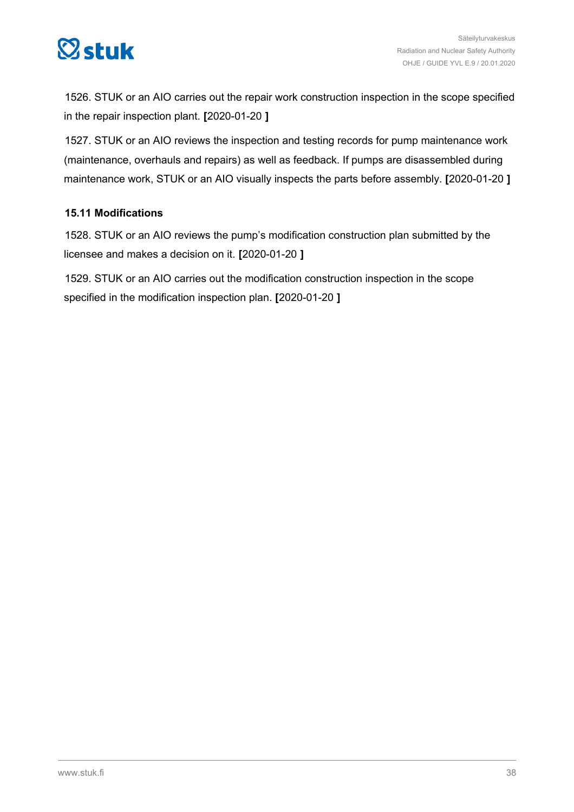<span id="page-37-0"></span>

1526. STUK or an AIO carries out the repair work construction inspection in the scope specified in the repair inspection plant. **[**2020-01-20 **]**

1527. STUK or an AIO reviews the inspection and testing records for pump maintenance work (maintenance, overhauls and repairs) as well as feedback. If pumps are disassembled during maintenance work, STUK or an AIO visually inspects the parts before assembly. **[**2020-01-20 **]**

### **15.11 Modifications**

1528. STUK or an AIO reviews the pump's modification construction plan submitted by the licensee and makes a decision on it. **[**2020-01-20 **]**

1529. STUK or an AIO carries out the modification construction inspection in the scope specified in the modification inspection plan. **[**2020-01-20 **]**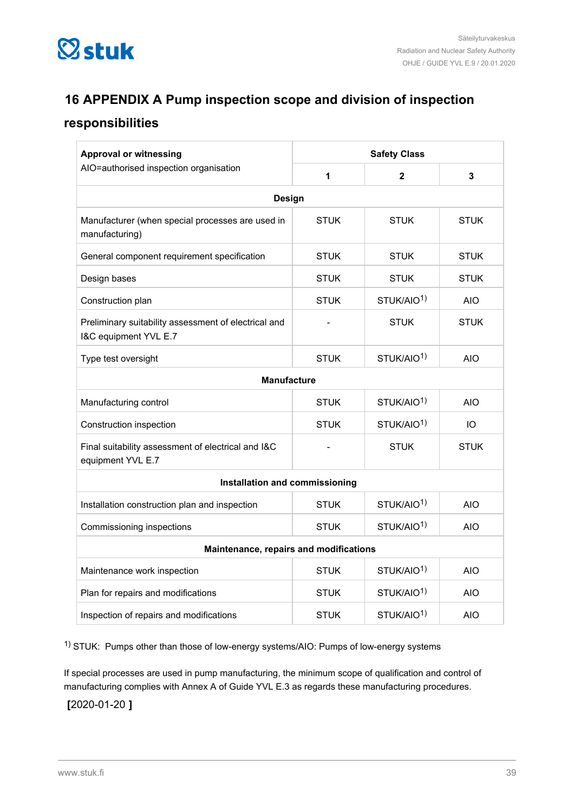<span id="page-38-0"></span>

### **16 APPENDIX A Pump inspection scope and division of inspection**

### **responsibilities**

| <b>Approval or witnessing</b>                                                 | <b>Safety Class</b>                   |                        |             |  |  |  |
|-------------------------------------------------------------------------------|---------------------------------------|------------------------|-------------|--|--|--|
| AIO=authorised inspection organisation                                        | 1                                     | $\mathbf{2}$           | 3           |  |  |  |
| <b>Design</b>                                                                 |                                       |                        |             |  |  |  |
| Manufacturer (when special processes are used in<br>manufacturing)            | <b>STUK</b>                           | <b>STUK</b>            | <b>STUK</b> |  |  |  |
| General component requirement specification                                   | <b>STUK</b>                           | <b>STUK</b>            | <b>STUK</b> |  |  |  |
| Design bases                                                                  | STUK                                  | <b>STUK</b>            | <b>STUK</b> |  |  |  |
| Construction plan                                                             | <b>STUK</b>                           | STUK/AIO <sup>1)</sup> | <b>AIO</b>  |  |  |  |
| Preliminary suitability assessment of electrical and<br>I&C equipment YVL E.7 |                                       | <b>STUK</b>            | <b>STUK</b> |  |  |  |
| Type test oversight                                                           | <b>STUK</b>                           | STUK/AIO <sup>1)</sup> | <b>AIO</b>  |  |  |  |
| <b>Manufacture</b>                                                            |                                       |                        |             |  |  |  |
| Manufacturing control                                                         | STUK/AIO <sup>1)</sup><br><b>STUK</b> |                        |             |  |  |  |
| Construction inspection                                                       | <b>STUK</b>                           | STUK/AIO <sup>1)</sup> | IO          |  |  |  |
| Final suitability assessment of electrical and I&C<br>equipment YVL E.7       |                                       | <b>STUK</b>            | <b>STUK</b> |  |  |  |
| Installation and commissioning                                                |                                       |                        |             |  |  |  |
| Installation construction plan and inspection                                 | <b>STUK</b>                           | STUK/AIO <sup>1)</sup> | <b>AIO</b>  |  |  |  |
| Commissioning inspections                                                     | <b>STUK</b>                           | STUK/AIO <sup>1)</sup> | <b>AIO</b>  |  |  |  |
| Maintenance, repairs and modifications                                        |                                       |                        |             |  |  |  |
| Maintenance work inspection                                                   | <b>STUK</b>                           | STUK/AIO <sup>1)</sup> | <b>AIO</b>  |  |  |  |
| Plan for repairs and modifications                                            | <b>STUK</b>                           | STUK/AIO <sup>1)</sup> | <b>AIO</b>  |  |  |  |
| Inspection of repairs and modifications                                       | <b>STUK</b>                           | STUK/AIO <sup>1)</sup> | <b>AIO</b>  |  |  |  |

1) STUK: Pumps other than those of low-energy systems/AIO: Pumps of low-energy systems

If special processes are used in pump manufacturing, the minimum scope of qualification and control of manufacturing complies with Annex A of Guide YVL E.3 as regards these manufacturing procedures.

**[**2020-01-20 **]**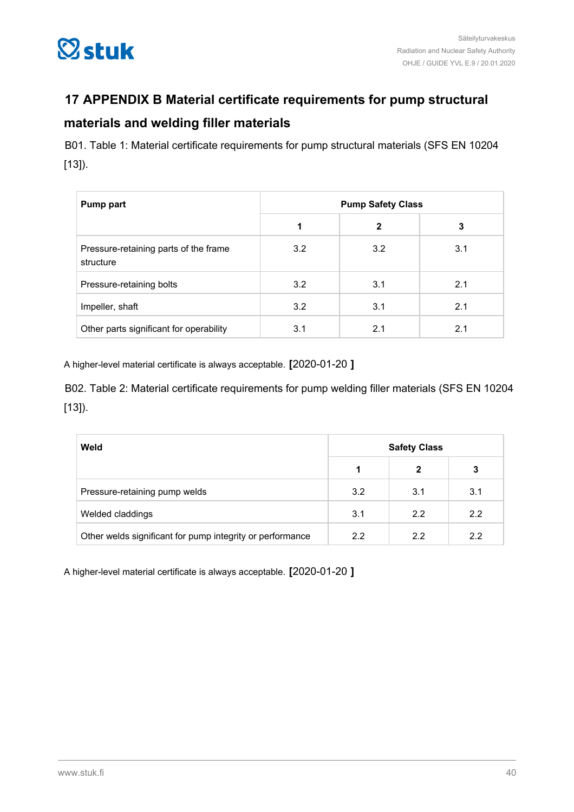<span id="page-39-0"></span>

### **17 APPENDIX B Material certificate requirements for pump structural**

### **materials and welding filler materials**

B01. Table 1: Material certificate requirements for pump structural materials (SFS EN 10204  $[13]$ .

| Pump part                                          | <b>Pump Safety Class</b> |              |     |  |  |
|----------------------------------------------------|--------------------------|--------------|-----|--|--|
|                                                    |                          | $\mathbf{2}$ | 3   |  |  |
| Pressure-retaining parts of the frame<br>structure | 3.2                      | 3.2          | 3.1 |  |  |
| Pressure-retaining bolts                           | 3.2                      | 3.1          | 2.1 |  |  |
| Impeller, shaft                                    | 3.2                      | 3.1          | 2.1 |  |  |
| Other parts significant for operability            | 3.1                      | 2.1          | 2.1 |  |  |

A higher-level material certificate is always acceptable. **[**2020-01-20 **]**

B02. Table 2: Material certificate requirements for pump welding filler materials (SFS EN 10204 [13]).

| Weld                                                      | <b>Safety Class</b> |              |     |
|-----------------------------------------------------------|---------------------|--------------|-----|
|                                                           |                     | $\mathbf{2}$ | 3   |
| Pressure-retaining pump welds                             | 3.2                 | 3.1          | 3.1 |
| Welded claddings                                          | 3.1                 | 2.2          | 2.2 |
| Other welds significant for pump integrity or performance | 22                  | 2.2          | 2.2 |

A higher-level material certificate is always acceptable. **[**2020-01-20 **]**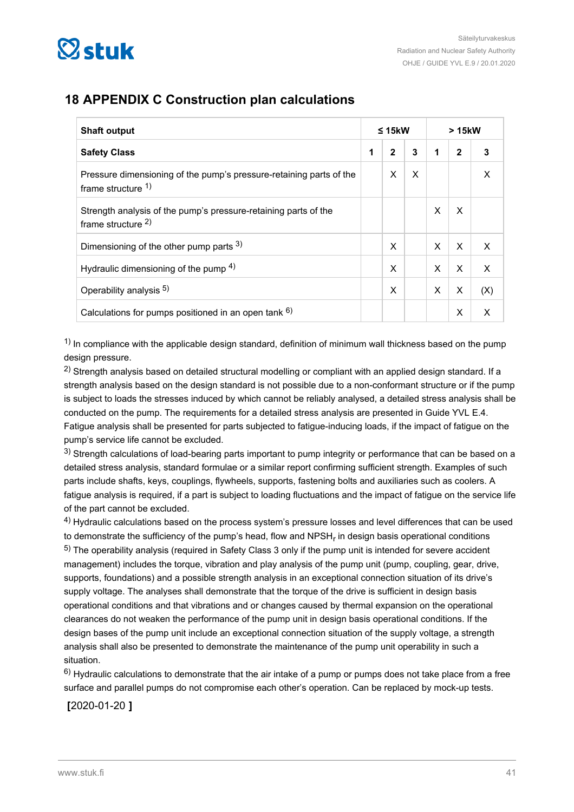<span id="page-40-0"></span>

### **18 APPENDIX C Construction plan calculations**

| <b>Shaft output</b>                                                                       |   | $\leq 15$ kW |   |   | > 15kW       |     |  |
|-------------------------------------------------------------------------------------------|---|--------------|---|---|--------------|-----|--|
| <b>Safety Class</b>                                                                       | 1 | $\mathbf{2}$ | 3 | 1 | $\mathbf{2}$ |     |  |
| Pressure dimensioning of the pump's pressure-retaining parts of the<br>frame structure 1) |   | X            | X |   |              | X   |  |
| Strength analysis of the pump's pressure-retaining parts of the<br>frame structure $2$ )  |   |              |   | X | X            |     |  |
| Dimensioning of the other pump parts 3)                                                   |   | X            |   | X | X            | X   |  |
| Hydraulic dimensioning of the pump $4$ )                                                  |   | X            |   | X | X            | X   |  |
| Operability analysis <sup>5)</sup>                                                        |   | X            |   | X | X            | (X) |  |
| Calculations for pumps positioned in an open tank $6$ )                                   |   |              |   |   | X            | x   |  |

 $1)$  In compliance with the applicable design standard, definition of minimum wall thickness based on the pump design pressure.

<sup>2)</sup> Strength analysis based on detailed structural modelling or compliant with an applied design standard. If a strength analysis based on the design standard is not possible due to a non-conformant structure or if the pump is subject to loads the stresses induced by which cannot be reliably analysed, a detailed stress analysis shall be conducted on the pump. The requirements for a detailed stress analysis are presented in Guide YVL E.4. Fatigue analysis shall be presented for parts subjected to fatigue-inducing loads, if the impact of fatigue on the pump's service life cannot be excluded.

3) Strength calculations of load-bearing parts important to pump integrity or performance that can be based on a detailed stress analysis, standard formulae or a similar report confirming sufficient strength. Examples of such parts include shafts, keys, couplings, flywheels, supports, fastening bolts and auxiliaries such as coolers. A fatigue analysis is required, if a part is subject to loading fluctuations and the impact of fatigue on the service life of the part cannot be excluded.

4) Hydraulic calculations based on the process system's pressure losses and level differences that can be used to demonstrate the sufficiency of the pump's head, flow and NPSH<sub>r</sub> in design basis operational conditions 5) The operability analysis (required in Safety Class 3 only if the pump unit is intended for severe accident management) includes the torque, vibration and play analysis of the pump unit (pump, coupling, gear, drive, supports, foundations) and a possible strength analysis in an exceptional connection situation of its drive's supply voltage. The analyses shall demonstrate that the torque of the drive is sufficient in design basis operational conditions and that vibrations and or changes caused by thermal expansion on the operational clearances do not weaken the performance of the pump unit in design basis operational conditions. If the design bases of the pump unit include an exceptional connection situation of the supply voltage, a strength analysis shall also be presented to demonstrate the maintenance of the pump unit operability in such a situation.

6) Hydraulic calculations to demonstrate that the air intake of a pump or pumps does not take place from a free surface and parallel pumps do not compromise each other's operation. Can be replaced by mock-up tests.

**[**2020-01-20 **]**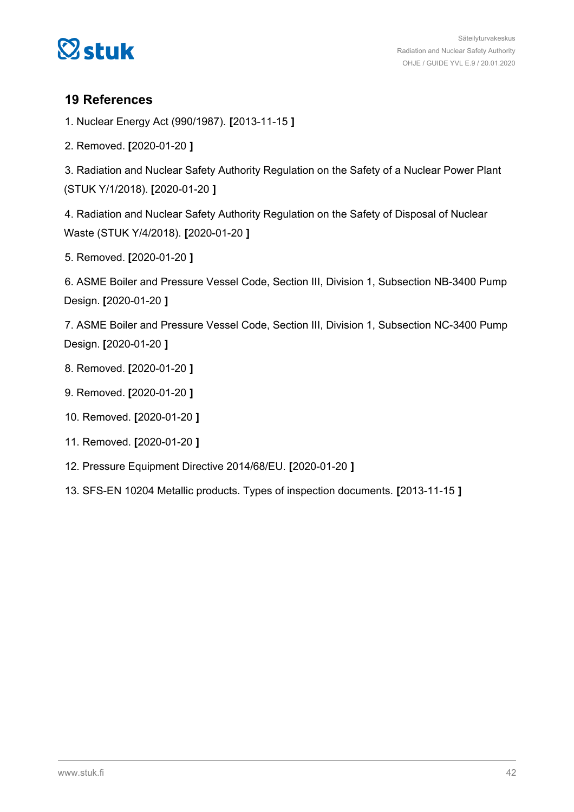<span id="page-41-0"></span>

### **19 References**

1. Nuclear Energy Act (990/1987). **[**2013-11-15 **]**

2. Removed. **[**2020-01-20 **]**

3. Radiation and Nuclear Safety Authority Regulation on the Safety of a Nuclear Power Plant (STUK Y/1/2018). **[**2020-01-20 **]**

4. Radiation and Nuclear Safety Authority Regulation on the Safety of Disposal of Nuclear Waste (STUK Y/4/2018). **[**2020-01-20 **]**

5. Removed. **[**2020-01-20 **]**

6. ASME Boiler and Pressure Vessel Code, Section III, Division 1, Subsection NB-3400 Pump Design. **[**2020-01-20 **]**

7. ASME Boiler and Pressure Vessel Code, Section III, Division 1, Subsection NC-3400 Pump Design. **[**2020-01-20 **]**

- 8. Removed. **[**2020-01-20 **]**
- 9. Removed. **[**2020-01-20 **]**
- 10. Removed. **[**2020-01-20 **]**
- 11. Removed. **[**2020-01-20 **]**
- 12. Pressure Equipment Directive 2014/68/EU. **[**2020-01-20 **]**
- 13. SFS-EN 10204 Metallic products. Types of inspection documents. **[**2013-11-15 **]**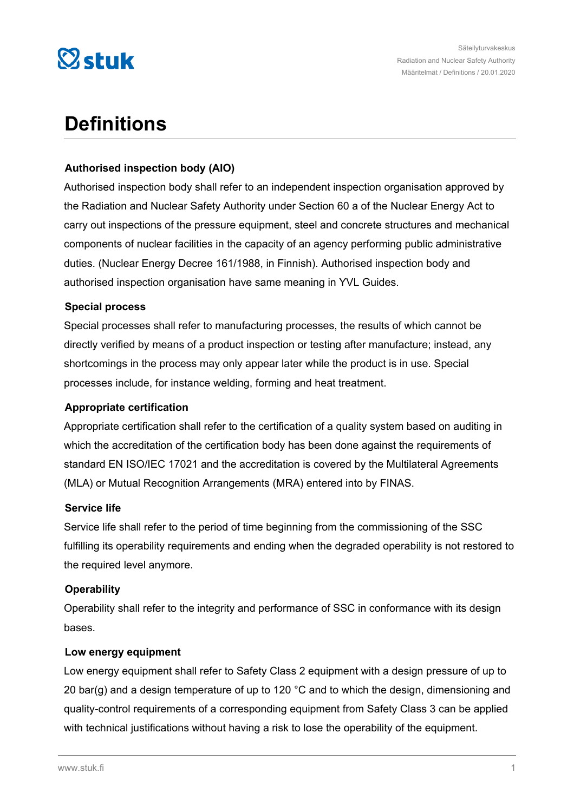

# **Definitions**

### **Authorised inspection body (AIO)**

Authorised inspection body shall refer to an independent inspection organisation approved by the Radiation and Nuclear Safety Authority under Section 60 a of the Nuclear Energy Act to carry out inspections of the pressure equipment, steel and concrete structures and mechanical components of nuclear facilities in the capacity of an agency performing public administrative duties. (Nuclear Energy Decree 161/1988, in Finnish). Authorised inspection body and authorised inspection organisation have same meaning in YVL Guides.

#### **Special process**

Special processes shall refer to manufacturing processes, the results of which cannot be directly verified by means of a product inspection or testing after manufacture; instead, any shortcomings in the process may only appear later while the product is in use. Special processes include, for instance welding, forming and heat treatment.

#### **Appropriate certification**

Appropriate certification shall refer to the certification of a quality system based on auditing in which the accreditation of the certification body has been done against the requirements of standard EN ISO/IEC 17021 and the accreditation is covered by the Multilateral Agreements (MLA) or Mutual Recognition Arrangements (MRA) entered into by FINAS.

#### **Service life**

Service life shall refer to the period of time beginning from the commissioning of the SSC fulfilling its operability requirements and ending when the degraded operability is not restored to the required level anymore.

### **Operability**

Operability shall refer to the integrity and performance of SSC in conformance with its design bases.

#### **Low energy equipment**

Low energy equipment shall refer to Safety Class 2 equipment with a design pressure of up to 20 bar(g) and a design temperature of up to 120  $^{\circ}$ C and to which the design, dimensioning and quality-control requirements of a corresponding equipment from Safety Class 3 can be applied with technical justifications without having a risk to lose the operability of the equipment.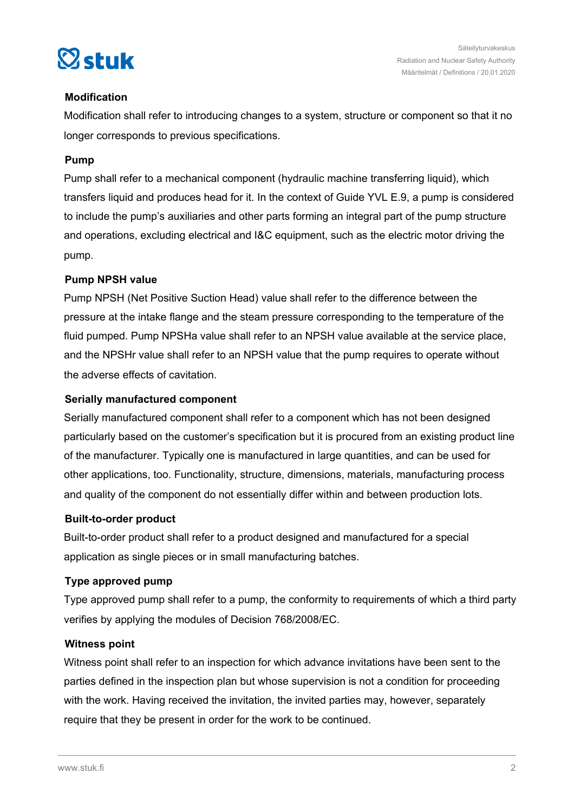

### **Modification**

Modification shall refer to introducing changes to a system, structure or component so that it no longer corresponds to previous specifications.

### **Pump**

Pump shall refer to a mechanical component (hydraulic machine transferring liquid), which transfers liquid and produces head for it. In the context of Guide YVL E.9, a pump is considered to include the pump's auxiliaries and other parts forming an integral part of the pump structure and operations, excluding electrical and I&C equipment, such as the electric motor driving the pump.

### **Pump NPSH value**

Pump NPSH (Net Positive Suction Head) value shall refer to the difference between the pressure at the intake flange and the steam pressure corresponding to the temperature of the fluid pumped. Pump NPSHa value shall refer to an NPSH value available at the service place, and the NPSHr value shall refer to an NPSH value that the pump requires to operate without the adverse effects of cavitation.

### **Serially manufactured component**

Serially manufactured component shall refer to a component which has not been designed particularly based on the customer's specification but it is procured from an existing product line of the manufacturer. Typically one is manufactured in large quantities, and can be used for other applications, too. Functionality, structure, dimensions, materials, manufacturing process and quality of the component do not essentially differ within and between production lots.

### **Built-to-order product**

Built-to-order product shall refer to a product designed and manufactured for a special application as single pieces or in small manufacturing batches.

### **Type approved pump**

Type approved pump shall refer to a pump, the conformity to requirements of which a third party verifies by applying the modules of Decision 768/2008/EC.

### **Witness point**

Witness point shall refer to an inspection for which advance invitations have been sent to the parties defined in the inspection plan but whose supervision is not a condition for proceeding with the work. Having received the invitation, the invited parties may, however, separately require that they be present in order for the work to be continued.